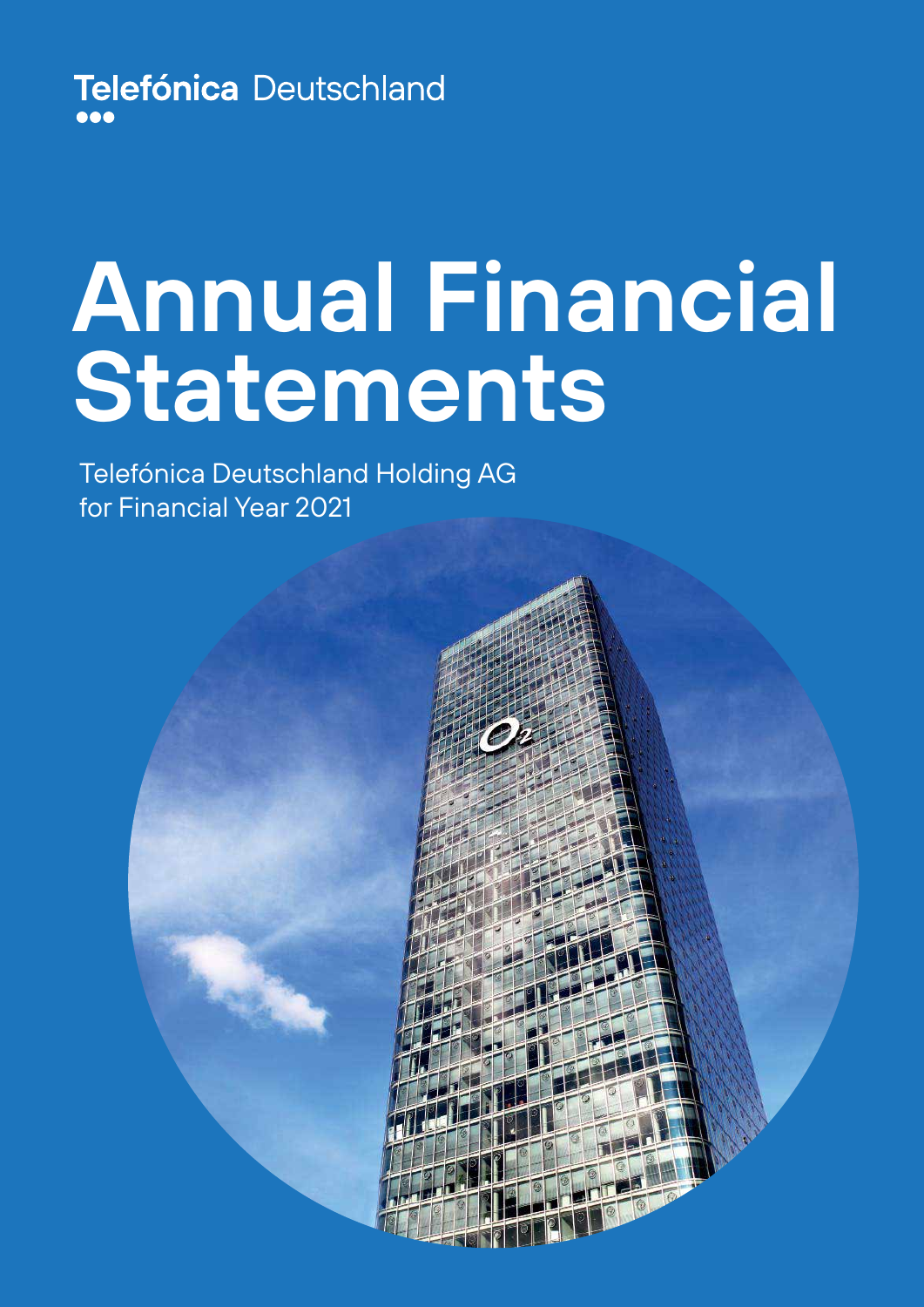Telefónica Deutschland

# **Annual Financial Statements**

Telefónica Deutschland Holding AG for Financial Year 2021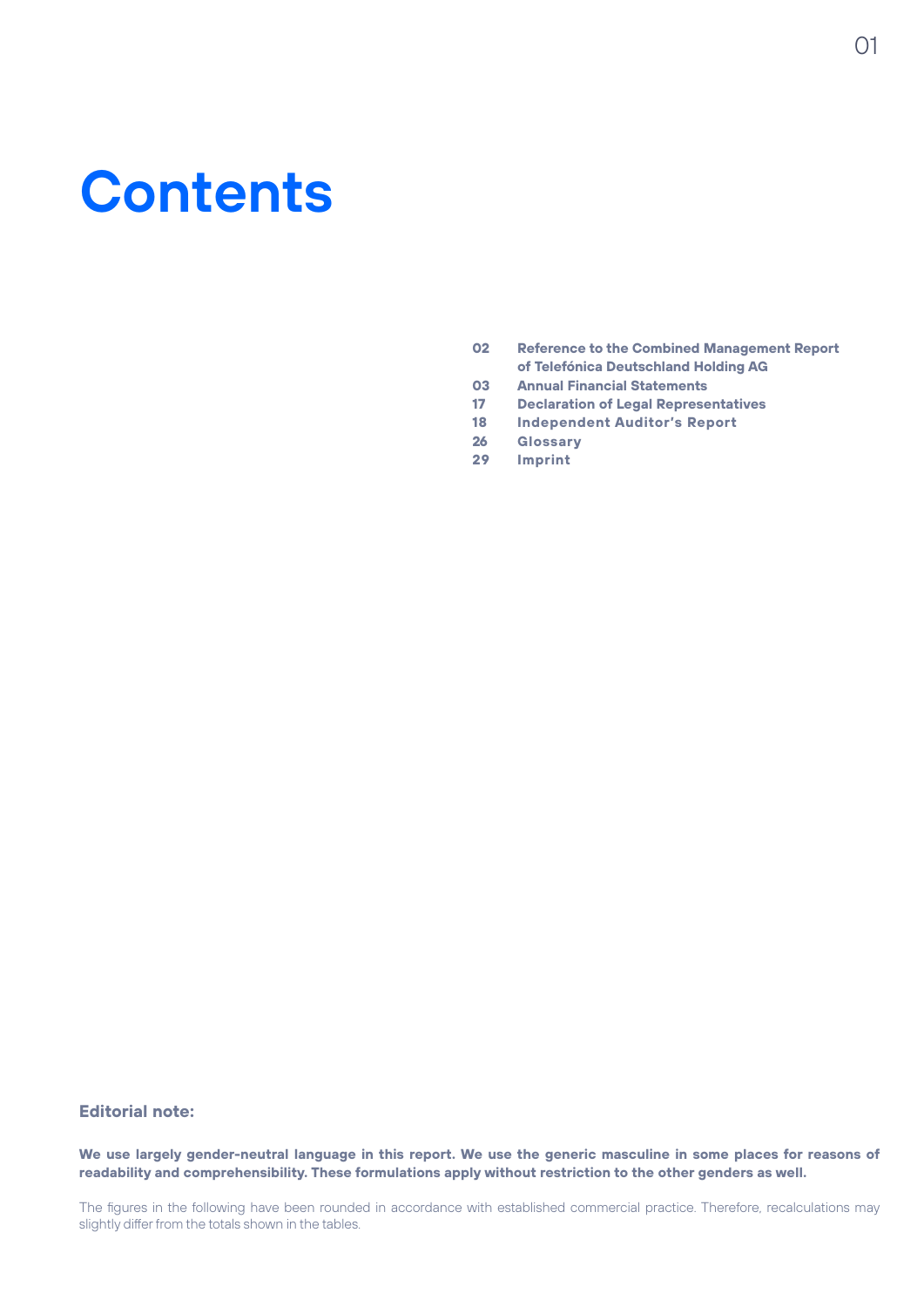# **Contents**

- **02 Reference to the Combined Management Report of Telefónica Deutschland Holding AG**
- **03 Annual Financial Statements**
- **17 Declaration of Legal Representatives**
- **18 Independent Auditor's Report**
- **26 Glossary**
- **29 Imprint**

#### **Editorial note:**

**We use largely gender-neutral language in this report. We use the generic masculine in some places for reasons of readability and comprehensibility. These formulations apply without restriction to the other genders as well.**

The figures in the following have been rounded in accordance with established commercial practice. Therefore, recalculations may slightly differ from the totals shown in the tables.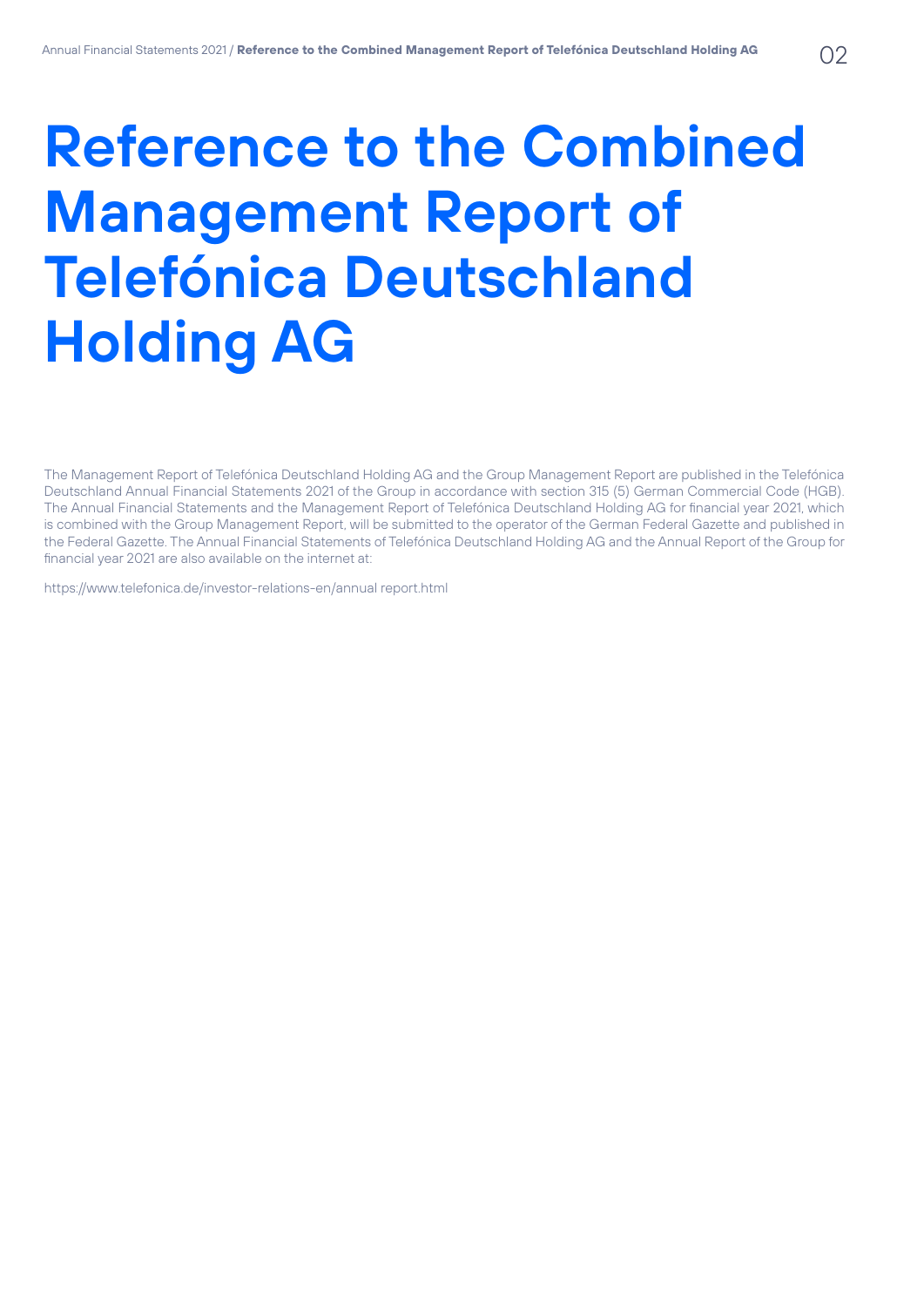# **Reference to the Combined Management Report of Telefónica Deutschland Holding AG**

The Management Report of Telefónica Deutschland Holding AG and the Group Management Report are published in the Telefónica Deutschland Annual Financial Statements 2021 of the Group in accordance with section 315 (5) German Commercial Code (HGB). The Annual Financial Statements and the Management Report of Telefónica Deutschland Holding AG for financial year 2021, which is combined with the Group Management Report, will be submitted to the operator of the German Federal Gazette and published in the Federal Gazette. The Annual Financial Statements of Telefónica Deutschland Holding AG and the Annual Report of the Group for financial year 2021 are also available on the internet at:

https://www.telefonica.de/investor-relations-en/annual report.html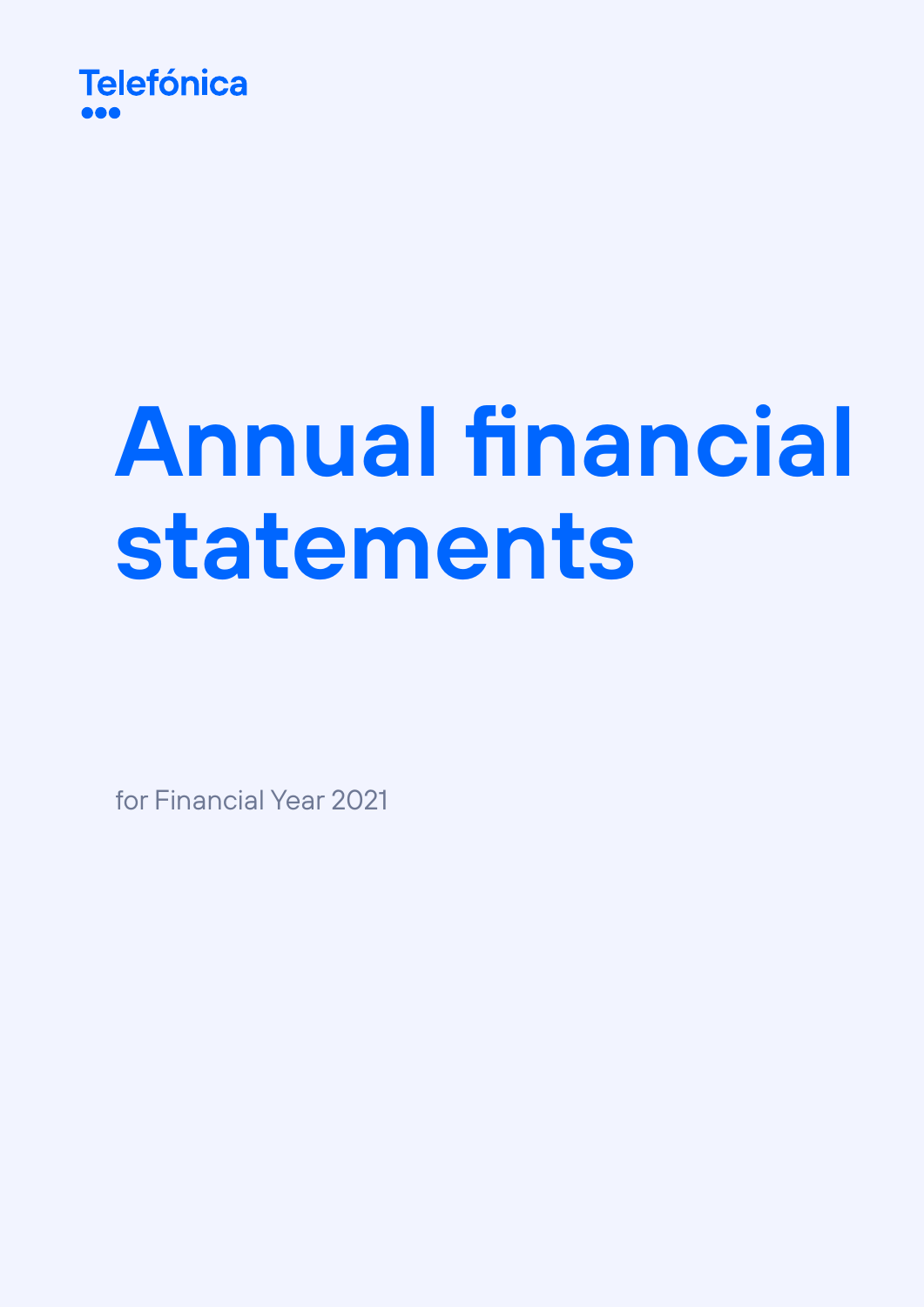

# **Annual financial statements**

for Financial Year 2021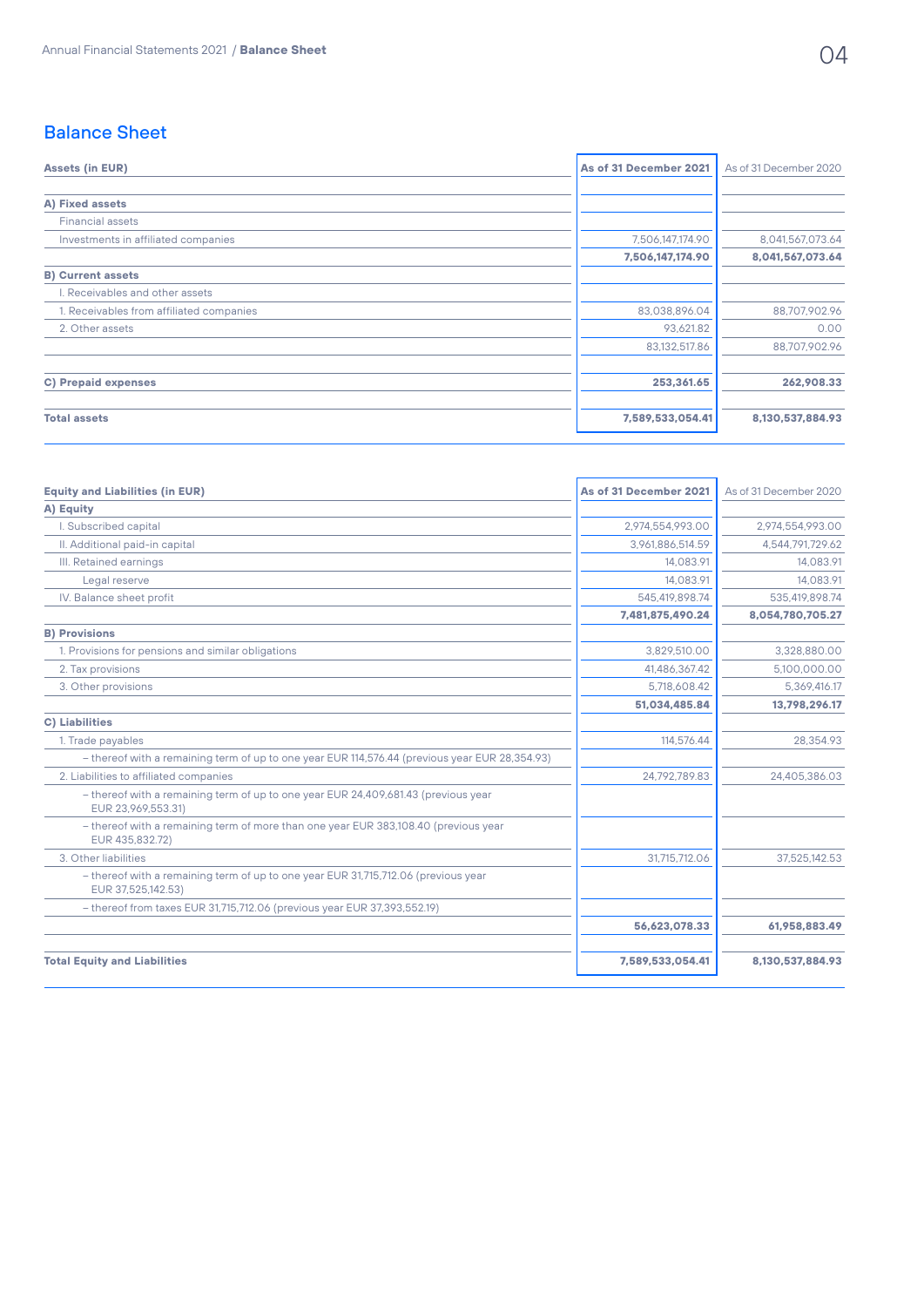# Balance Sheet

| <b>Assets (in EUR)</b>                   | As of 31 December 2021 | As of 31 December 2020 |
|------------------------------------------|------------------------|------------------------|
| A) Fixed assets                          |                        |                        |
| <b>Financial assets</b>                  |                        |                        |
| Investments in affiliated companies      | 7,506,147,174.90       | 8,041,567,073.64       |
|                                          | 7,506,147,174.90       | 8,041,567,073.64       |
| <b>B) Current assets</b>                 |                        |                        |
| I. Receivables and other assets          |                        |                        |
| 1. Receivables from affiliated companies | 83,038,896.04          | 88,707,902.96          |
| 2. Other assets                          | 93,621.82              | 0.00                   |
|                                          | 83,132,517.86          | 88,707,902.96          |
| <b>C) Prepaid expenses</b>               | 253,361.65             | 262,908.33             |
| <b>Total assets</b>                      | 7,589,533,054.41       | 8,130,537,884.93       |

| <b>Equity and Liabilities (in EUR)</b>                                                                   | As of 31 December 2021 | As of 31 December 2020 |
|----------------------------------------------------------------------------------------------------------|------------------------|------------------------|
| A) Equity                                                                                                |                        |                        |
| I. Subscribed capital                                                                                    | 2.974.554.993.00       | 2.974.554.993.00       |
| II. Additional paid-in capital                                                                           | 3.961.886.514.59       | 4,544,791,729.62       |
| III. Retained earnings                                                                                   | 14.083.91              | 14.083.91              |
| Legal reserve                                                                                            | 14.083.91              | 14.083.91              |
| IV. Balance sheet profit                                                                                 | 545,419,898.74         | 535,419,898.74         |
|                                                                                                          | 7,481,875,490.24       | 8,054,780,705.27       |
| <b>B) Provisions</b>                                                                                     |                        |                        |
| 1. Provisions for pensions and similar obligations                                                       | 3.829.510.00           | 3.328.880.00           |
| 2. Tax provisions                                                                                        | 41.486.367.42          | 5.100.000.00           |
| 3. Other provisions                                                                                      | 5.718.608.42           | 5.369.416.17           |
|                                                                                                          | 51,034,485.84          | 13,798,296.17          |
| <b>C) Liabilities</b>                                                                                    |                        |                        |
| 1. Trade payables                                                                                        | 114,576.44             | 28.354.93              |
| - thereof with a remaining term of up to one year EUR 114,576.44 (previous year EUR 28,354.93)           |                        |                        |
| 2. Liabilities to affiliated companies                                                                   | 24.792.789.83          | 24,405,386.03          |
| - thereof with a remaining term of up to one year EUR 24,409,681.43 (previous year<br>EUR 23.969.553.31) |                        |                        |
| - thereof with a remaining term of more than one year EUR 383,108.40 (previous year<br>EUR 435,832.72)   |                        |                        |
| 3. Other liabilities                                                                                     | 31.715.712.06          | 37.525.142.53          |
| - thereof with a remaining term of up to one year EUR 31,715,712.06 (previous year<br>EUR 37,525,142.53) |                        |                        |
| - thereof from taxes EUR 31,715,712.06 (previous year EUR 37,393,552.19)                                 |                        |                        |
|                                                                                                          | 56,623,078.33          | 61,958,883.49          |
| <b>Total Equity and Liabilities</b>                                                                      | 7,589,533,054.41       | 8,130,537,884.93       |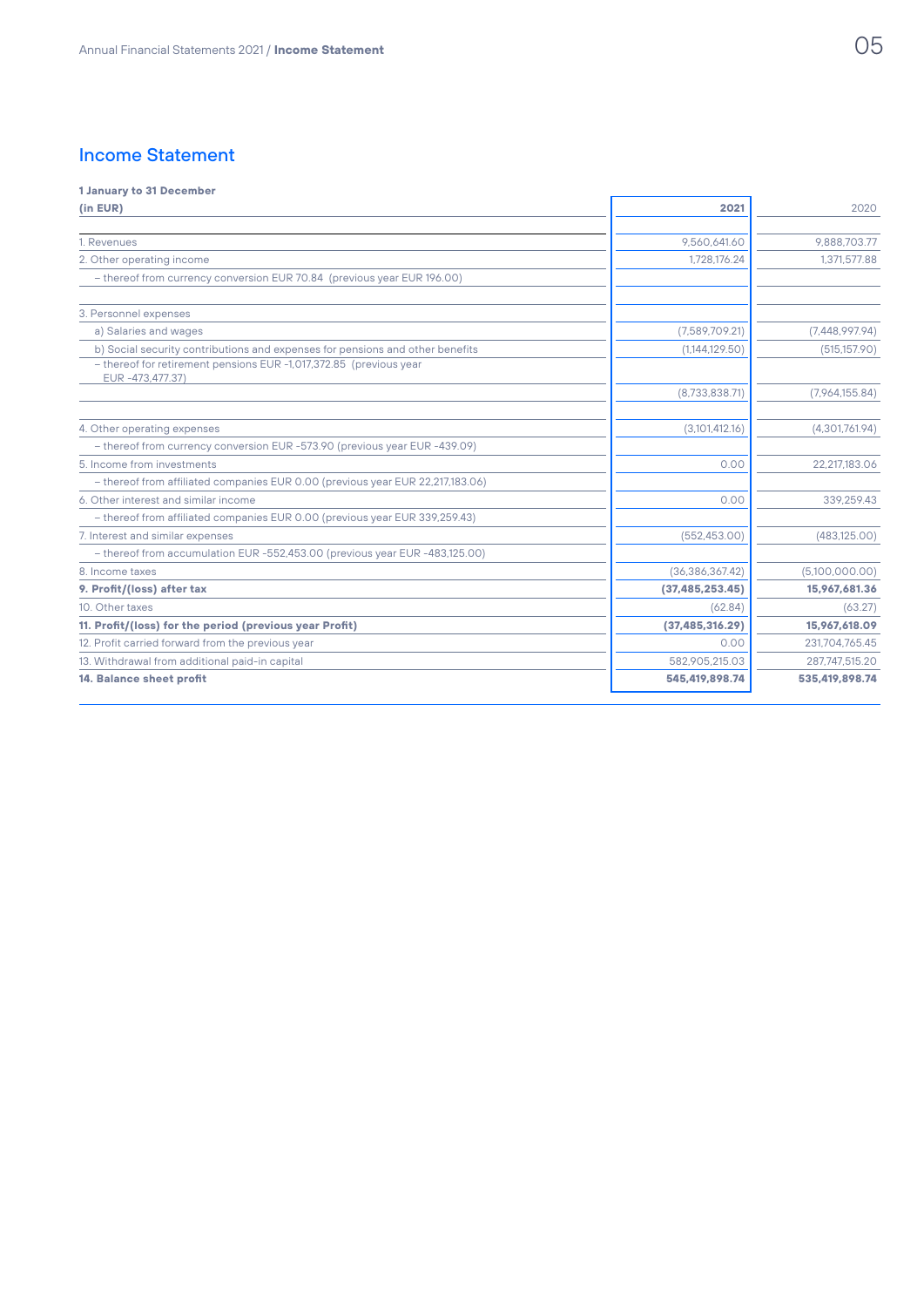# Income Statement

#### **1 January to 31 December**

| (in EUR)                                                                                                                                                               | 2021              | 2020           |
|------------------------------------------------------------------------------------------------------------------------------------------------------------------------|-------------------|----------------|
|                                                                                                                                                                        |                   |                |
| 1. Revenues                                                                                                                                                            | 9.560.641.60      | 9.888.703.77   |
| 2. Other operating income                                                                                                                                              | 1,728,176.24      | 1,371,577.88   |
| - thereof from currency conversion EUR 70.84 (previous year EUR 196.00)                                                                                                |                   |                |
| 3. Personnel expenses                                                                                                                                                  |                   |                |
| a) Salaries and wages                                                                                                                                                  | (7,589,709.21)    | (7,448,997.94) |
| b) Social security contributions and expenses for pensions and other benefits<br>- thereof for retirement pensions EUR -1,017,372.85 (previous year<br>EUR-473,477.37) | (1,144,129.50)    | (515, 157.90)  |
|                                                                                                                                                                        | (8,733,838.71)    | (7,964,155.84) |
| 4. Other operating expenses                                                                                                                                            | (3,101,412.16)    | (4,301,761.94) |
| - thereof from currency conversion EUR -573.90 (previous year EUR -439.09)                                                                                             |                   |                |
| 5. Income from investments                                                                                                                                             | 0.00              | 22.217.183.06  |
| - thereof from affiliated companies EUR 0.00 (previous year EUR 22,217,183.06)                                                                                         |                   |                |
| 6. Other interest and similar income                                                                                                                                   | 0.00              | 339.259.43     |
| - thereof from affiliated companies EUR 0.00 (previous year EUR 339,259.43)                                                                                            |                   |                |
| 7. Interest and similar expenses                                                                                                                                       | (552.453.00)      | (483, 125.00)  |
| - thereof from accumulation EUR -552,453.00 (previous year EUR -483,125.00)                                                                                            |                   |                |
| 8. Income taxes                                                                                                                                                        | (36, 386, 367.42) | (5,100,000.00) |
| 9. Profit/(loss) after tax                                                                                                                                             | (37, 485, 253.45) | 15,967,681.36  |
| 10. Other taxes                                                                                                                                                        | (62.84)           | (63.27)        |
| 11. Profit/(loss) for the period (previous year Profit)                                                                                                                | (37, 485, 316.29) | 15,967,618.09  |
| 12. Profit carried forward from the previous year                                                                                                                      | 0.00              | 231,704,765.45 |
| 13. Withdrawal from additional paid-in capital                                                                                                                         | 582.905.215.03    | 287.747.515.20 |
| 14. Balance sheet profit                                                                                                                                               | 545,419,898.74    | 535,419,898.74 |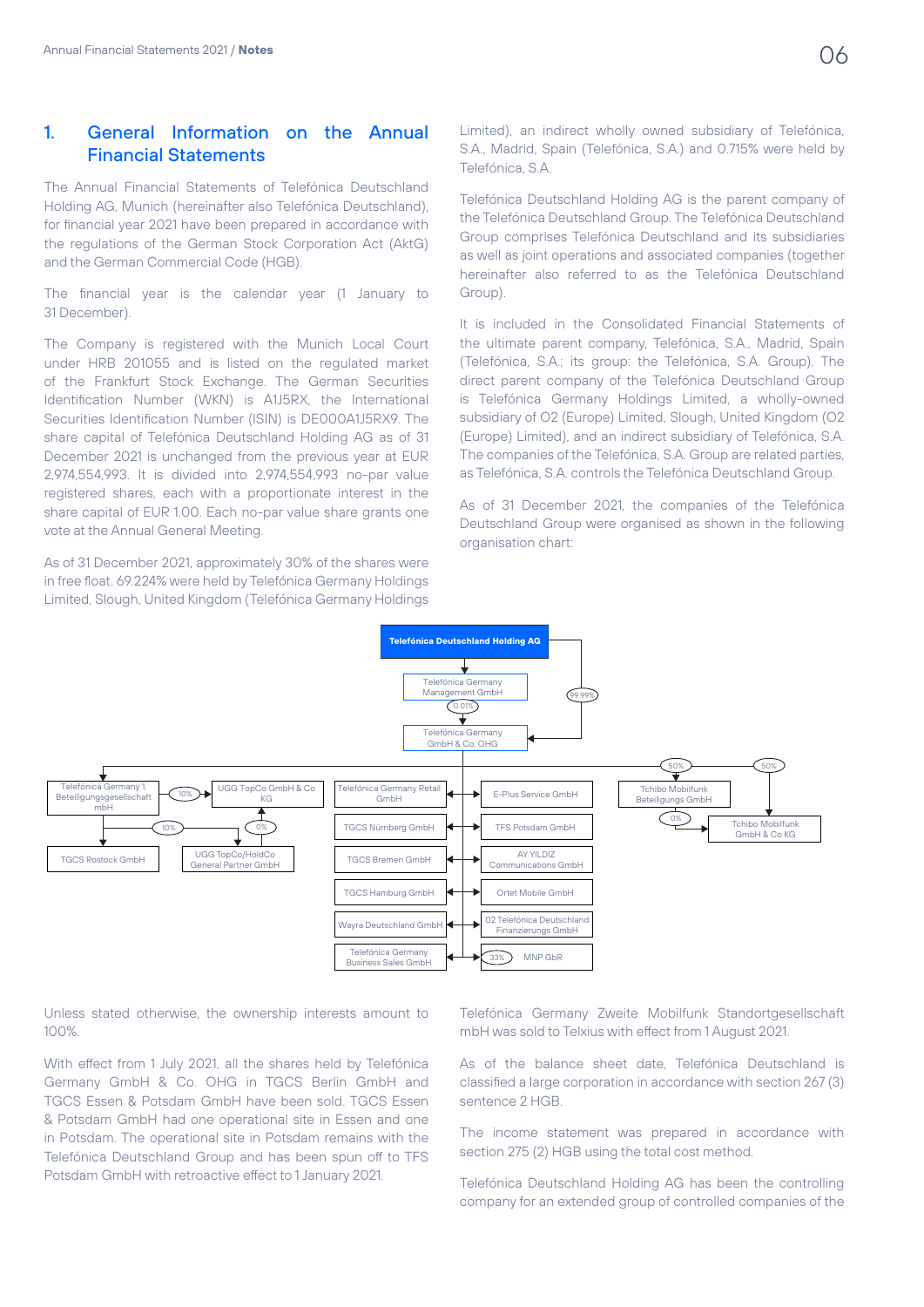# 1. General Information on the Annual Financial Statements

The Annual Financial Statements of Telefónica Deutschland Holding AG, Munich (hereinafter also Telefónica Deutschland), for financial year 2021 have been prepared in accordance with the regulations of the German Stock Corporation Act (AktG) and the German Commercial Code (HGB).

The financial year is the calendar year (1 January to 31 December).

The Company is registered with the Munich Local Court under HRB 201055 and is listed on the regulated market of the Frankfurt Stock Exchange. The German Securities Identification Number (WKN) is A1J5RX, the International Securities Identification Number (ISIN) is DE000A1J5RX9. The share capital of Telefónica Deutschland Holding AG as of 31 December 2021 is unchanged from the previous year at EUR 2,974,554,993. It is divided into 2,974,554,993 no-par value registered shares, each with a proportionate interest in the share capital of EUR 1.00. Each no-par value share grants one vote at the Annual General Meeting.

As of 31 December 2021, approximately 30% of the shares were in free float. 69.224% were held by Telefónica Germany Holdings Limited, Slough, United Kingdom (Telefónica Germany Holdings

Limited), an indirect wholly owned subsidiary of Telefónica, S.A., Madrid, Spain (Telefónica, S.A.) and 0.715% were held by Telefónica, S.A.

Telefónica Deutschland Holding AG is the parent company of the Telefónica Deutschland Group. The Telefónica Deutschland Group comprises Telefónica Deutschland and its subsidiaries as well as joint operations and associated companies (together hereinafter also referred to as the Telefónica Deutschland Group).

It is included in the Consolidated Financial Statements of the ultimate parent company, Telefónica, S.A., Madrid, Spain (Telefónica, S.A.; its group: the Telefónica, S.A. Group). The direct parent company of the Telefónica Deutschland Group is Telefónica Germany Holdings Limited, a wholly-owned subsidiary of O2 (Europe) Limited, Slough, United Kingdom (O2 (Europe) Limited), and an indirect subsidiary of Telefónica, S.A. The companies of the Telefónica, S.A. Group are related parties, as Telefónica, S.A. controls the Telefónica Deutschland Group.

As of 31 December 2021, the companies of the Telefónica Deutschland Group were organised as shown in the following organisation chart:



Unless stated otherwise, the ownership interests amount to 100%.

With effect from 1 July 2021, all the shares held by Telefónica Germany GmbH & Co. OHG in TGCS Berlin GmbH and TGCS Essen & Potsdam GmbH have been sold. TGCS Essen & Potsdam GmbH had one operational site in Essen and one in Potsdam. The operational site in Potsdam remains with the Telefónica Deutschland Group and has been spun off to TFS Potsdam GmbH with retroactive effect to 1 January 2021.

Telefónica Germany Zweite Mobilfunk Standortgesellschaft mbH was sold to Telxius with effect from 1 August 2021.

As of the balance sheet date, Telefónica Deutschland is classified a large corporation in accordance with section 267 (3) sentence 2 HGB.

The income statement was prepared in accordance with section 275 (2) HGB using the total cost method.

Telefónica Deutschland Holding AG has been the controlling company for an extended group of controlled companies of the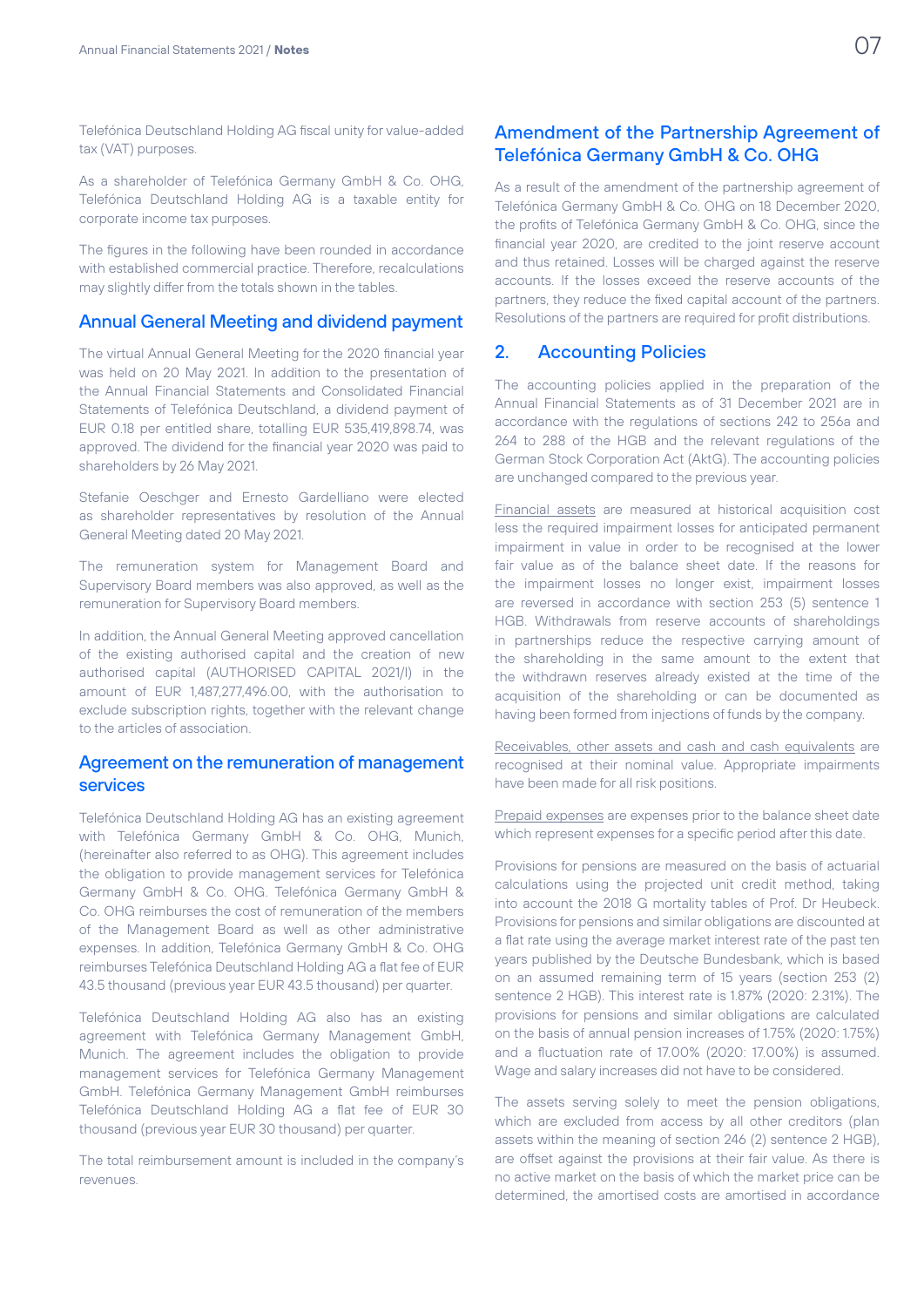Telefónica Deutschland Holding AG fiscal unity for value-added tax (VAT) purposes.

As a shareholder of Telefónica Germany GmbH & Co. OHG, Telefónica Deutschland Holding AG is a taxable entity for corporate income tax purposes.

The figures in the following have been rounded in accordance with established commercial practice. Therefore, recalculations may slightly differ from the totals shown in the tables.

### Annual General Meeting and dividend payment

The virtual Annual General Meeting for the 2020 financial year was held on 20 May 2021. In addition to the presentation of the Annual Financial Statements and Consolidated Financial Statements of Telefónica Deutschland, a dividend payment of EUR 0.18 per entitled share, totalling EUR 535,419,898.74, was approved. The dividend for the financial year 2020 was paid to shareholders by 26 May 2021.

Stefanie Oeschger and Ernesto Gardelliano were elected as shareholder representatives by resolution of the Annual General Meeting dated 20 May 2021.

The remuneration system for Management Board and Supervisory Board members was also approved, as well as the remuneration for Supervisory Board members.

In addition, the Annual General Meeting approved cancellation of the existing authorised capital and the creation of new authorised capital (AUTHORISED CAPITAL 2021/I) in the amount of EUR 1,487,277,496.00, with the authorisation to exclude subscription rights, together with the relevant change to the articles of association.

### Agreement on the remuneration of management services

Telefónica Deutschland Holding AG has an existing agreement with Telefónica Germany GmbH & Co. OHG, Munich, (hereinafter also referred to as OHG). This agreement includes the obligation to provide management services for Telefónica Germany GmbH & Co. OHG. Telefónica Germany GmbH & Co. OHG reimburses the cost of remuneration of the members of the Management Board as well as other administrative expenses. In addition, Telefónica Germany GmbH & Co. OHG reimburses Telefónica Deutschland Holding AG a flat fee of EUR 43.5 thousand (previous year EUR 43.5 thousand) per quarter.

Telefónica Deutschland Holding AG also has an existing agreement with Telefónica Germany Management GmbH, Munich. The agreement includes the obligation to provide management services for Telefónica Germany Management GmbH. Telefónica Germany Management GmbH reimburses Telefónica Deutschland Holding AG a flat fee of EUR 30 thousand (previous year EUR 30 thousand) per quarter.

The total reimbursement amount is included in the company's revenues.

# Amendment of the Partnership Agreement of Telefónica Germany GmbH & Co. OHG

As a result of the amendment of the partnership agreement of Telefónica Germany GmbH & Co. OHG on 18 December 2020, the profits of Telefónica Germany GmbH & Co. OHG, since the financial year 2020, are credited to the joint reserve account and thus retained. Losses will be charged against the reserve accounts. If the losses exceed the reserve accounts of the partners, they reduce the fixed capital account of the partners. Resolutions of the partners are required for profit distributions.

### 2. Accounting Policies

The accounting policies applied in the preparation of the Annual Financial Statements as of 31 December 2021 are in accordance with the regulations of sections 242 to 256a and 264 to 288 of the HGB and the relevant regulations of the German Stock Corporation Act (AktG). The accounting policies are unchanged compared to the previous year.

Financial assets are measured at historical acquisition cost less the required impairment losses for anticipated permanent impairment in value in order to be recognised at the lower fair value as of the balance sheet date. If the reasons for the impairment losses no longer exist, impairment losses are reversed in accordance with section 253 (5) sentence 1 HGB. Withdrawals from reserve accounts of shareholdings in partnerships reduce the respective carrying amount of the shareholding in the same amount to the extent that the withdrawn reserves already existed at the time of the acquisition of the shareholding or can be documented as having been formed from injections of funds by the company.

Receivables, other assets and cash and cash equivalents are recognised at their nominal value. Appropriate impairments have been made for all risk positions.

Prepaid expenses are expenses prior to the balance sheet date which represent expenses for a specific period after this date.

Provisions for pensions are measured on the basis of actuarial calculations using the projected unit credit method, taking into account the 2018 G mortality tables of Prof. Dr Heubeck. Provisions for pensions and similar obligations are discounted at a flat rate using the average market interest rate of the past ten years published by the Deutsche Bundesbank, which is based on an assumed remaining term of 15 years (section 253 (2) sentence 2 HGB). This interest rate is 1.87% (2020: 2.31%). The provisions for pensions and similar obligations are calculated on the basis of annual pension increases of 1.75% (2020: 1.75%) and a fluctuation rate of 17.00% (2020: 17.00%) is assumed. Wage and salary increases did not have to be considered.

The assets serving solely to meet the pension obligations, which are excluded from access by all other creditors (plan assets within the meaning of section 246 (2) sentence 2 HGB), are offset against the provisions at their fair value. As there is no active market on the basis of which the market price can be determined, the amortised costs are amortised in accordance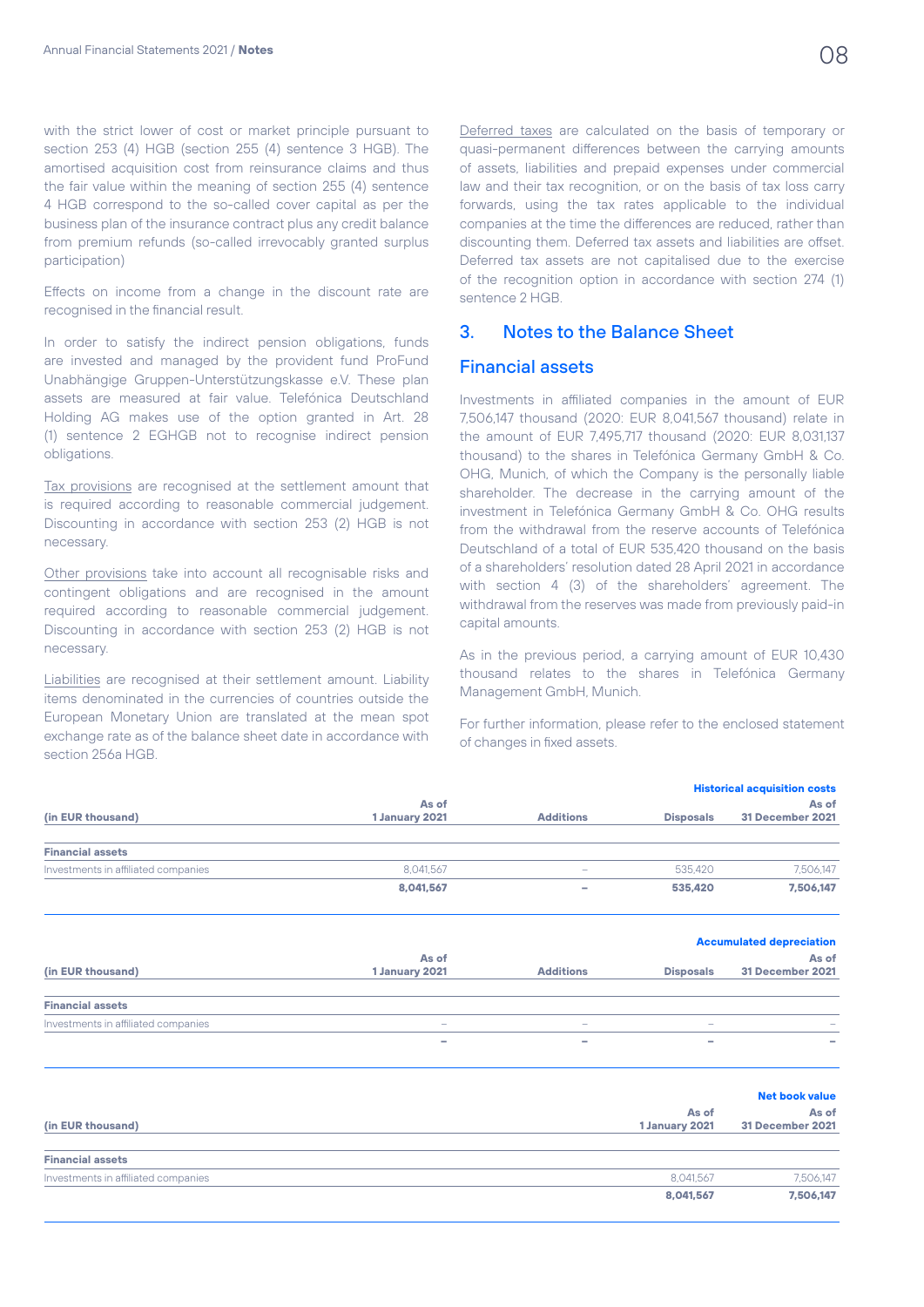with the strict lower of cost or market principle pursuant to section 253 (4) HGB (section 255 (4) sentence 3 HGB). The amortised acquisition cost from reinsurance claims and thus the fair value within the meaning of section 255 (4) sentence 4 HGB correspond to the so-called cover capital as per the business plan of the insurance contract plus any credit balance from premium refunds (so-called irrevocably granted surplus participation)

Effects on income from a change in the discount rate are recognised in the financial result.

In order to satisfy the indirect pension obligations, funds are invested and managed by the provident fund ProFund Unabhängige Gruppen-Unterstützungskasse e.V. These plan assets are measured at fair value. Telefónica Deutschland Holding AG makes use of the option granted in Art. 28 (1) sentence 2 EGHGB not to recognise indirect pension obligations.

Tax provisions are recognised at the settlement amount that is required according to reasonable commercial judgement. Discounting in accordance with section 253 (2) HGB is not necessary.

Other provisions take into account all recognisable risks and contingent obligations and are recognised in the amount required according to reasonable commercial judgement. Discounting in accordance with section 253 (2) HGB is not necessary.

Liabilities are recognised at their settlement amount. Liability items denominated in the currencies of countries outside the European Monetary Union are translated at the mean spot exchange rate as of the balance sheet date in accordance with section 256a HGB.

Deferred taxes are calculated on the basis of temporary or quasi-permanent differences between the carrying amounts of assets, liabilities and prepaid expenses under commercial law and their tax recognition, or on the basis of tax loss carry forwards, using the tax rates applicable to the individual companies at the time the differences are reduced, rather than discounting them. Deferred tax assets and liabilities are offset. Deferred tax assets are not capitalised due to the exercise of the recognition option in accordance with section 274 (1) sentence 2 HGB.

## 3. Notes to the Balance Sheet

#### Financial assets

Investments in affiliated companies in the amount of EUR 7,506,147 thousand (2020: EUR 8,041,567 thousand) relate in the amount of EUR 7495,717 thousand  $(2020)$ : EUR 8,031,137 thousand) to the shares in Telefónica Germany GmbH & Co. OHG, Munich, of which the Company is the personally liable shareholder. The decrease in the carrying amount of the investment in Telefónica Germany GmbH & Co. OHG results from the withdrawal from the reserve accounts of Telefónica Deutschland of a total of EUR 535,420 thousand on the basis of a shareholders' resolution dated 28 April 2021 in accordance with section 4 (3) of the shareholders' agreement. The withdrawal from the reserves was made from previously paid-in capital amounts.

As in the previous period, a carrying amount of EUR 10,430 thousand relates to the shares in Telefónica Germany Management GmbH, Munich.

For further information, please refer to the enclosed statement of changes in fixed assets.

|                                     |                         |                          |                          | <b>Historical acquisition costs</b> |
|-------------------------------------|-------------------------|--------------------------|--------------------------|-------------------------------------|
|                                     | As of                   |                          |                          | As of                               |
| (in EUR thousand)                   | 1 January 2021          | <b>Additions</b>         | <b>Disposals</b>         | 31 December 2021                    |
| <b>Financial assets</b>             |                         |                          |                          |                                     |
| Investments in affiliated companies | 8,041,567               |                          | 535.420                  | 7,506,147                           |
|                                     | 8,041,567               | -                        | 535,420                  | 7,506,147                           |
|                                     |                         |                          |                          |                                     |
|                                     |                         |                          |                          | <b>Accumulated depreciation</b>     |
| (in EUR thousand)                   | As of<br>1 January 2021 | <b>Additions</b>         | <b>Disposals</b>         | As of<br>31 December 2021           |
| <b>Financial assets</b>             |                         |                          |                          |                                     |
| Investments in affiliated companies | $\equiv$                | $\overline{\phantom{a}}$ | $\overline{\phantom{0}}$ |                                     |
|                                     | ۰                       | ۰                        | ۰                        |                                     |
|                                     |                         |                          |                          | <b>Net book value</b>               |
|                                     |                         |                          | As of                    | As of                               |
| (in EUR thousand)                   |                         |                          | 1 January 2021           | 31 December 2021                    |
| <b>Financial assets</b>             |                         |                          |                          |                                     |
| Investments in affiliated companies |                         |                          | 8,041,567                | 7,506,147                           |
|                                     |                         |                          | 8.041.567                | 7.506.147                           |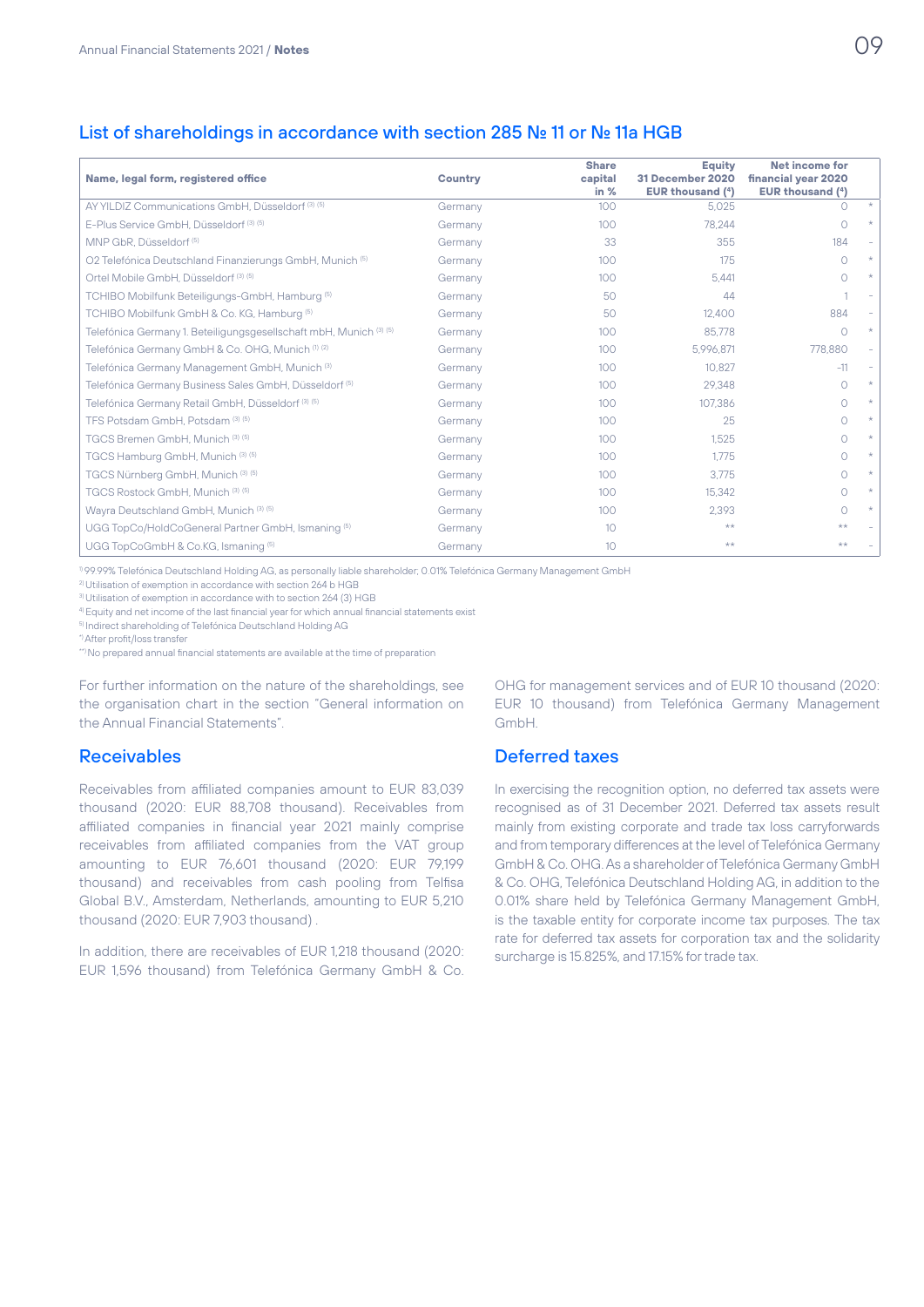# List of shareholdings in accordance with section 285 No. 11 or No. 11a HGB

| Name, legal form, registered office                                     | Country | <b>Share</b><br>capital<br>in $%$ | Equity<br>31 December 2020<br><b>EUR thousand (4)</b> | <b>Net income for</b><br>financial year 2020<br>EUR thousand $(4)$ |  |
|-------------------------------------------------------------------------|---------|-----------------------------------|-------------------------------------------------------|--------------------------------------------------------------------|--|
| AY YILDIZ Communications GmbH, Düsseldorf <sup>(3)</sup> <sup>(5)</sup> | Germany | 100 <sub>o</sub>                  | 5.025                                                 |                                                                    |  |
| E-Plus Service GmbH, Düsseldorf (3) (5)                                 | Germany | 100                               | 78.244                                                | $\cap$                                                             |  |
| MNP GbR, Düsseldorf <sup>(5)</sup>                                      | Germany | 33                                | 355                                                   | 184                                                                |  |
| O2 Telefónica Deutschland Finanzierungs GmbH, Munich (5)                | Germany | 100 <sub>o</sub>                  | 175                                                   | $\bigcap$                                                          |  |
| Ortel Mobile GmbH, Düsseldorf (3) (5)                                   | Germany | 100                               | 5.441                                                 |                                                                    |  |
| TCHIBO Mobilfunk Beteiligungs-GmbH, Hamburg <sup>(5)</sup>              | Germany | 50                                | 44                                                    |                                                                    |  |
| TCHIBO Mobilfunk GmbH & Co. KG, Hamburg (5)                             | Germany | 50                                | 12,400                                                | 884                                                                |  |
| Telefónica Germany 1. Beteiligungsgesellschaft mbH, Munich (3) (5)      | Germany | 100                               | 85.778                                                | $\bigcirc$                                                         |  |
| Telefónica Germany GmbH & Co. OHG, Munich (1) (2)                       | Germany | 100 <sub>o</sub>                  | 5.996.871                                             | 778,880                                                            |  |
| Telefónica Germany Management GmbH, Munich <sup>(3)</sup>               | Germany | 100 <sub>o</sub>                  | 10.827                                                | $-11$                                                              |  |
| Telefónica Germany Business Sales GmbH, Düsseldorf (5)                  | Germany | 100                               | 29.348                                                | ∩                                                                  |  |
| Telefónica Germany Retail GmbH, Düsseldorf <sup>(3)(5)</sup>            | Germany | 100                               | 107.386                                               | ∩                                                                  |  |
| TFS Potsdam GmbH, Potsdam (3) (5)                                       | Germany | 100 <sub>o</sub>                  | 25                                                    | ∩                                                                  |  |
| TGCS Bremen GmbH, Munich (3) (5)                                        | Germany | 100 <sub>o</sub>                  | 1.525                                                 | $\bigcap$                                                          |  |
| TGCS Hamburg GmbH, Munich <sup>(3)(5)</sup>                             | Germany | 100                               | 1.775                                                 | ∩                                                                  |  |
| TGCS Nürnberg GmbH, Munich (3) (5)                                      | Germany | 100                               | 3.775                                                 | ∩                                                                  |  |
| TGCS Rostock GmbH. Munich (3) (5)                                       | Germany | 100 <sub>o</sub>                  | 15.342                                                | $\bigcap$                                                          |  |
| Wayra Deutschland GmbH, Munich <sup>(3)(5)</sup>                        | Germany | 100                               | 2.393                                                 | $\cap$                                                             |  |
| UGG TopCo/HoldCoGeneral Partner GmbH, Ismaning (5)                      | Germany | 10 <sup>°</sup>                   | $**$                                                  | $**$                                                               |  |
| UGG TopCoGmbH & Co.KG, Ismaning (5)                                     | Germany | 10                                | **                                                    | $**$                                                               |  |

1) 99.99% Telefónica Deutschland Holding AG, as personally liable shareholder; 0.01% Telefónica Germany Management GmbH

2) Utilisation of exemption in accordance with section 264 b HGB

3) Utilisation of exemption in accordance with to section 264 (3) HGB

4) Equity and net income of the last financial year for which annual financial statements exist

5) Indirect shareholding of Telefónica Deutschland Holding AG

\*) After profit/loss transfer

\*\*) No prepared annual financial statements are available at the time of preparation

For further information on the nature of the shareholdings, see the organisation chart in the section "General information on the Annual Financial Statements".

#### **Receivables**

Receivables from affiliated companies amount to EUR 83,039 thousand (2020: EUR 88,708 thousand). Receivables from affiliated companies in financial year 2021 mainly comprise receivables from affiliated companies from the VAT group amounting to EUR 76,601 thousand (2020: EUR 79,199 thousand) and receivables from cash pooling from Telfisa Global B.V., Amsterdam, Netherlands, amounting to EUR 5,210 thousand (2020: EUR 7,903 thousand) .

In addition, there are receivables of EUR 1,218 thousand (2020: EUR 1,596 thousand) from Telefónica Germany GmbH & Co.

OHG for management services and of EUR 10 thousand (2020: EUR 10 thousand) from Telefónica Germany Management GmbH.

# Deferred taxes

In exercising the recognition option, no deferred tax assets were recognised as of 31 December 2021. Deferred tax assets result mainly from existing corporate and trade tax loss carryforwards and from temporary differences at the level of Telefónica Germany GmbH & Co. OHG. As a shareholder of Telefónica Germany GmbH & Co. OHG, Telefónica Deutschland Holding AG, in addition to the 0.01% share held by Telefónica Germany Management GmbH, is the taxable entity for corporate income tax purposes. The tax rate for deferred tax assets for corporation tax and the solidarity surcharge is 15.825%, and 17.15% for trade tax.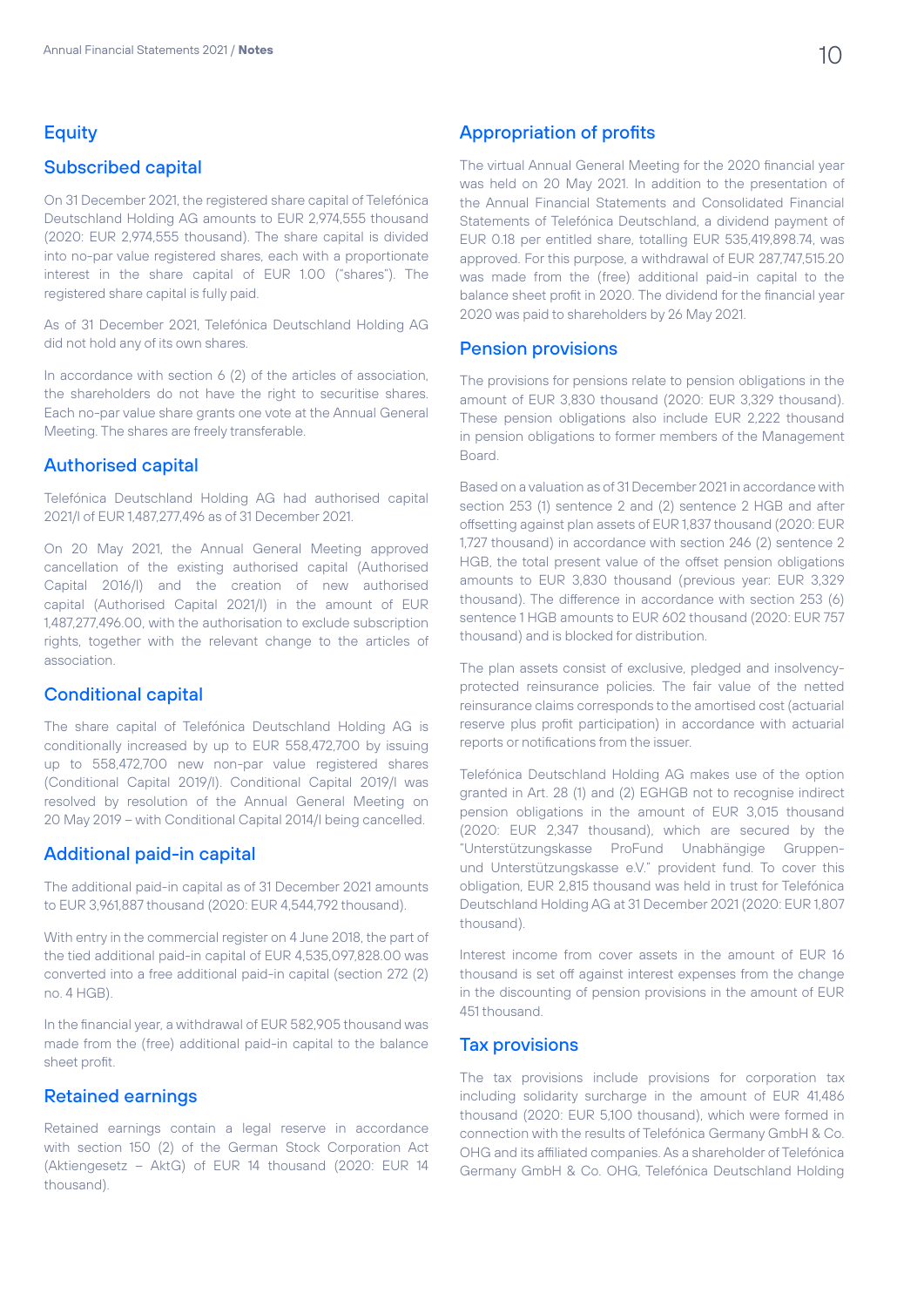# **Equity**

# Subscribed capital

On 31 December 2021, the registered share capital of Telefónica Deutschland Holding AG amounts to EUR 2,974,555 thousand (2020: EUR 2,974,555 thousand). The share capital is divided into no-par value registered shares, each with a proportionate interest in the share capital of EUR 1.00 ("shares"). The registered share capital is fully paid.

As of 31 December 2021, Telefónica Deutschland Holding AG did not hold any of its own shares.

In accordance with section 6 (2) of the articles of association, the shareholders do not have the right to securitise shares. Each no-par value share grants one vote at the Annual General Meeting. The shares are freely transferable.

#### Authorised capital

Telefónica Deutschland Holding AG had authorised capital 2021/I of EUR 1,487,277,496 as of 31 December 2021.

On 20 May 2021, the Annual General Meeting approved cancellation of the existing authorised capital (Authorised Capital 2016/I) and the creation of new authorised capital (Authorised Capital 2021/I) in the amount of EUR 1,487,277,496.00, with the authorisation to exclude subscription rights, together with the relevant change to the articles of association.

### Conditional capital

The share capital of Telefónica Deutschland Holding AG is conditionally increased by up to EUR 558,472,700 by issuing up to 558,472,700 new non-par value registered shares (Conditional Capital 2019/I). Conditional Capital 2019/I was resolved by resolution of the Annual General Meeting on 20 May 2019 – with Conditional Capital 2014/I being cancelled.

#### Additional paid-in capital

The additional paid-in capital as of 31 December 2021 amounts to EUR 3,961,887 thousand (2020: EUR 4,544,792 thousand).

With entry in the commercial register on 4 June 2018, the part of the tied additional paid-in capital of EUR 4,535,097,828.00 was converted into a free additional paid-in capital (section 272 (2) no. 4 HGB).

In the financial year, a withdrawal of EUR 582,905 thousand was made from the (free) additional paid-in capital to the balance sheet profit.

# Retained earnings

Retained earnings contain a legal reserve in accordance with section 150 (2) of the German Stock Corporation Act (Aktiengesetz – AktG) of EUR 14 thousand (2020: EUR 14 thousand).

#### Appropriation of profits

The virtual Annual General Meeting for the 2020 financial year was held on 20 May 2021. In addition to the presentation of the Annual Financial Statements and Consolidated Financial Statements of Telefónica Deutschland, a dividend payment of EUR 0.18 per entitled share, totalling EUR 535,419,898.74, was approved. For this purpose, a withdrawal of EUR 287,747,515.20 was made from the (free) additional paid-in capital to the balance sheet profit in 2020. The dividend for the financial year 2020 was paid to shareholders by 26 May 2021.

#### Pension provisions

The provisions for pensions relate to pension obligations in the amount of EUR 3,830 thousand (2020: EUR 3,329 thousand). These pension obligations also include EUR 2,222 thousand in pension obligations to former members of the Management Board.

Based on a valuation as of 31 December 2021 in accordance with section 253 (1) sentence 2 and (2) sentence 2 HGB and after offsetting against plan assets of EUR 1,837 thousand (2020: EUR 1,727 thousand) in accordance with section 246 (2) sentence 2 HGB, the total present value of the offset pension obligations amounts to EUR 3,830 thousand (previous year: EUR 3,329 thousand). The difference in accordance with section 253 (6) sentence 1 HGB amounts to EUR 602 thousand (2020: EUR 757 thousand) and is blocked for distribution.

The plan assets consist of exclusive, pledged and insolvencyprotected reinsurance policies. The fair value of the netted reinsurance claims corresponds to the amortised cost (actuarial reserve plus profit participation) in accordance with actuarial reports or notifications from the issuer.

Telefónica Deutschland Holding AG makes use of the option granted in Art. 28 (1) and (2) EGHGB not to recognise indirect pension obligations in the amount of EUR 3,015 thousand (2020: EUR 2,347 thousand), which are secured by the "Unterstützungskasse ProFund Unabhängige Gruppenund Unterstützungskasse e.V." provident fund. To cover this obligation, EUR 2,815 thousand was held in trust for Telefónica Deutschland Holding AG at 31 December 2021 (2020: EUR 1,807 thousand).

Interest income from cover assets in the amount of EUR 16 thousand is set off against interest expenses from the change in the discounting of pension provisions in the amount of EUR 451 thousand.

#### Tax provisions

The tax provisions include provisions for corporation tax including solidarity surcharge in the amount of EUR 41,486 thousand (2020: EUR 5,100 thousand), which were formed in connection with the results of Telefónica Germany GmbH & Co. OHG and its affiliated companies. As a shareholder of Telefónica Germany GmbH & Co. OHG, Telefónica Deutschland Holding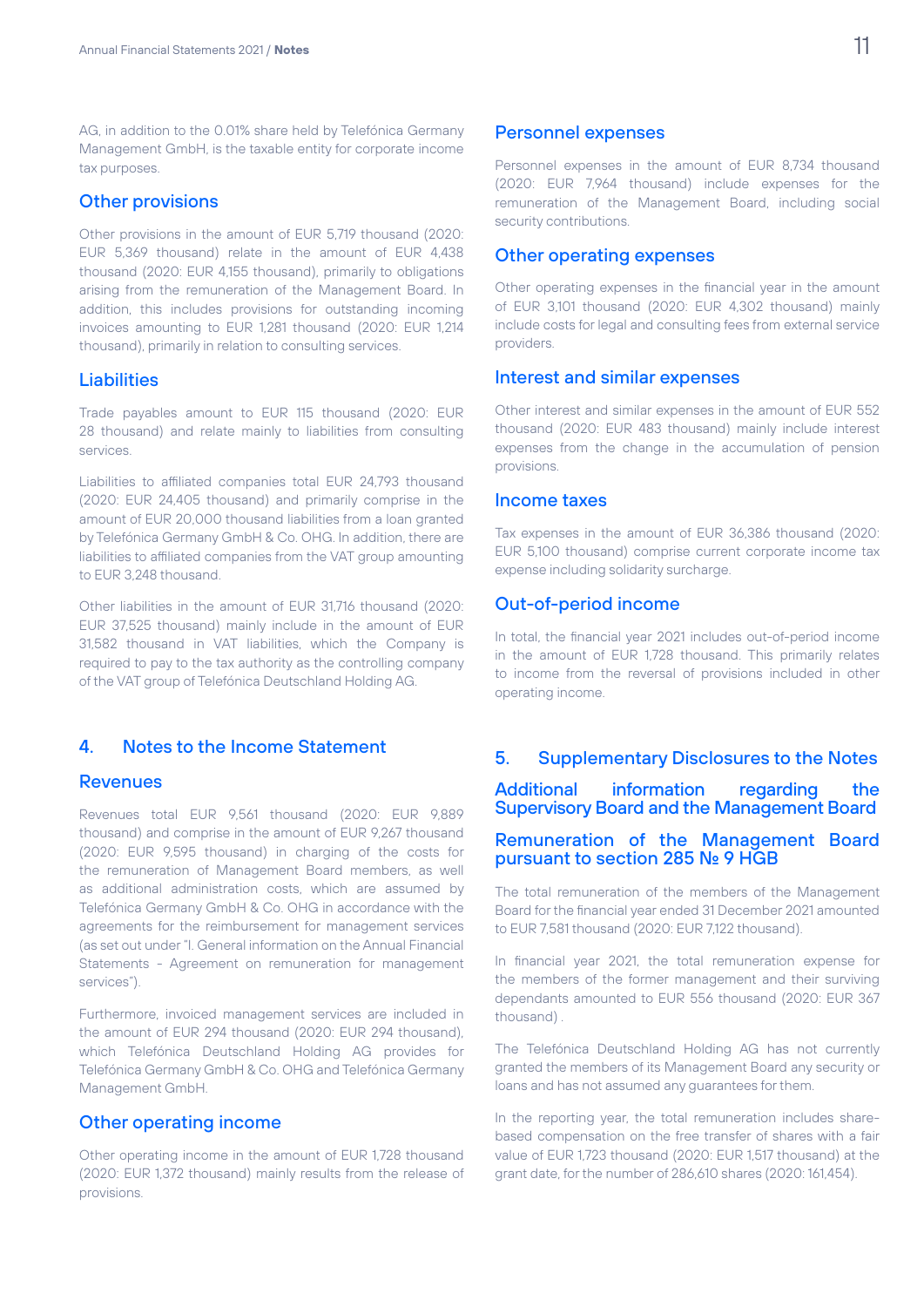AG, in addition to the 0.01% share held by Telefónica Germany Management GmbH, is the taxable entity for corporate income tax purposes.

#### Other provisions

Other provisions in the amount of EUR 5,719 thousand (2020: EUR 5,369 thousand) relate in the amount of EUR 4,438 thousand (2020: EUR 4,155 thousand), primarily to obligations arising from the remuneration of the Management Board. In addition, this includes provisions for outstanding incoming invoices amounting to EUR 1,281 thousand (2020: EUR 1,214 thousand), primarily in relation to consulting services.

#### **Liabilities**

Trade payables amount to EUR 115 thousand (2020: EUR 28 thousand) and relate mainly to liabilities from consulting services.

Liabilities to affiliated companies total EUR 24,793 thousand (2020: EUR 24,405 thousand) and primarily comprise in the amount of EUR 20,000 thousand liabilities from a loan granted by Telefónica Germany GmbH & Co. OHG. In addition, there are liabilities to affiliated companies from the VAT group amounting to EUR 3,248 thousand.

Other liabilities in the amount of EUR 31,716 thousand (2020: EUR 37,525 thousand) mainly include in the amount of EUR 31,582 thousand in VAT liabilities, which the Company is required to pay to the tax authority as the controlling company of the VAT group of Telefónica Deutschland Holding AG.

# 4. Notes to the Income Statement

#### Revenues

Revenues total EUR 9,561 thousand (2020: EUR 9,889 thousand) and comprise in the amount of EUR 9,267 thousand (2020: EUR 9,595 thousand) in charging of the costs for the remuneration of Management Board members, as well as additional administration costs, which are assumed by Telefónica Germany GmbH & Co. OHG in accordance with the agreements for the reimbursement for management services (as set out under "I. General information on the Annual Financial Statements - Agreement on remuneration for management services").

Furthermore, invoiced management services are included in the amount of EUR 294 thousand (2020: EUR 294 thousand), which Telefónica Deutschland Holding AG provides for Telefónica Germany GmbH & Co. OHG and Telefónica Germany Management GmbH.

#### Other operating income

Other operating income in the amount of EUR 1,728 thousand (2020: EUR 1,372 thousand) mainly results from the release of provisions.

Personnel expenses in the amount of EUR 8,734 thousand (2020: EUR 7,964 thousand) include expenses for the remuneration of the Management Board, including social security contributions.

#### Other operating expenses

Other operating expenses in the financial year in the amount of EUR 3,101 thousand (2020: EUR 4,302 thousand) mainly include costs for legal and consulting fees from external service providers.

#### Interest and similar expenses

Other interest and similar expenses in the amount of EUR 552 thousand (2020: EUR 483 thousand) mainly include interest expenses from the change in the accumulation of pension provisions.

#### Income taxes

Tax expenses in the amount of EUR 36,386 thousand (2020: EUR 5,100 thousand) comprise current corporate income tax expense including solidarity surcharge.

#### Out-of-period income

In total, the financial year 2021 includes out-of-period income in the amount of EUR 1,728 thousand. This primarily relates to income from the reversal of provisions included in other operating income.

#### 5. Supplementary Disclosures to the Notes

Additional information regarding the Supervisory Board and the Management Board

#### Remuneration of the Management Board pursuant to section 285 No. 9 HGB

The total remuneration of the members of the Management Board for the financial year ended 31 December 2021 amounted to EUR 7,581 thousand (2020: EUR 7,122 thousand).

In financial year 2021, the total remuneration expense for the members of the former management and their surviving dependants amounted to EUR 556 thousand (2020: EUR 367 thousand) .

The Telefónica Deutschland Holding AG has not currently granted the members of its Management Board any security or loans and has not assumed any guarantees for them.

In the reporting year, the total remuneration includes sharebased compensation on the free transfer of shares with a fair value of EUR 1,723 thousand (2020: EUR 1,517 thousand) at the grant date, for the number of 286,610 shares (2020: 161,454).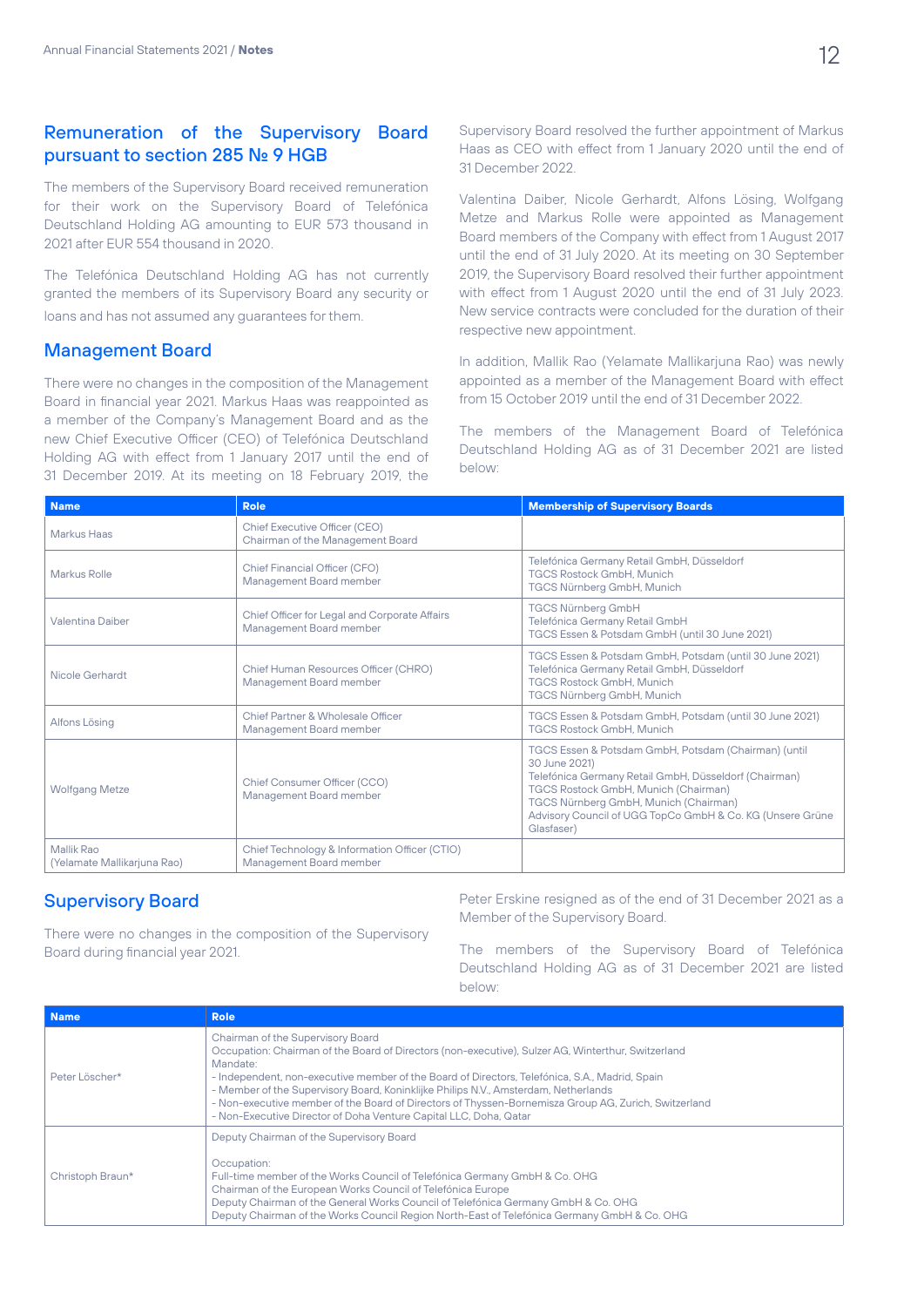# Remuneration of the Supervisory Board pursuant to section 285 No. 9 HGB

The members of the Supervisory Board received remuneration for their work on the Supervisory Board of Telefónica Deutschland Holding AG amounting to EUR 573 thousand in 2021 after EUR 554 thousand in 2020.

The Telefónica Deutschland Holding AG has not currently granted the members of its Supervisory Board any security or loans and has not assumed any guarantees for them.

#### Management Board

There were no changes in the composition of the Management Board in financial year 2021. Markus Haas was reappointed as a member of the Company's Management Board and as the new Chief Executive Officer (CEO) of Telefónica Deutschland Holding AG with effect from 1 January 2017 until the end of 31 December 2019. At its meeting on 18 February 2019, the

Supervisory Board resolved the further appointment of Markus Haas as CEO with effect from 1 January 2020 until the end of 31 December 2022.

Valentina Daiber, Nicole Gerhardt, Alfons Lösing, Wolfgang Metze and Markus Rolle were appointed as Management Board members of the Company with effect from 1 August 2017 until the end of 31 July 2020. At its meeting on 30 September 2019, the Supervisory Board resolved their further appointment with effect from 1 August 2020 until the end of 31 July 2023. New service contracts were concluded for the duration of their respective new appointment.

In addition, Mallik Rao (Yelamate Mallikarjuna Rao) was newly appointed as a member of the Management Board with effect from 15 October 2019 until the end of 31 December 2022.

The members of the Management Board of Telefónica Deutschland Holding AG as of 31 December 2021 are listed below:

| <b>Name</b>                               | <b>Role</b>                                                              | <b>Membership of Supervisory Boards</b>                                                                                                                                                                                                                                                    |
|-------------------------------------------|--------------------------------------------------------------------------|--------------------------------------------------------------------------------------------------------------------------------------------------------------------------------------------------------------------------------------------------------------------------------------------|
| Markus Haas                               | Chief Executive Officer (CEO)<br>Chairman of the Management Board        |                                                                                                                                                                                                                                                                                            |
| Markus Rolle                              | Chief Financial Officer (CFO)<br>Management Board member                 | Telefónica Germany Retail GmbH, Düsseldorf<br><b>TGCS Rostock GmbH. Munich</b><br>TGCS Nürnberg GmbH, Munich                                                                                                                                                                               |
| <b>Valentina Daiber</b>                   | Chief Officer for Legal and Corporate Affairs<br>Management Board member | <b>TGCS Nürnberg GmbH</b><br>Telefónica Germany Retail GmbH<br>TGCS Essen & Potsdam GmbH (until 30 June 2021)                                                                                                                                                                              |
| Nicole Gerhardt                           | Chief Human Resources Officer (CHRO)<br>Management Board member          | TGCS Essen & Potsdam GmbH, Potsdam (until 30 June 2021)<br>Telefónica Germany Retail GmbH, Düsseldorf<br><b>TGCS Rostock GmbH. Munich</b><br>TGCS Nürnberg GmbH, Munich                                                                                                                    |
| Alfons Lösing                             | Chief Partner & Wholesale Officer<br>Management Board member             | TGCS Essen & Potsdam GmbH, Potsdam (until 30 June 2021)<br><b>TGCS Rostock GmbH. Munich</b>                                                                                                                                                                                                |
| <b>Wolfgang Metze</b>                     | Chief Consumer Officer (CCO)<br>Management Board member                  | TGCS Essen & Potsdam GmbH, Potsdam (Chairman) (until<br>30 June 2021)<br>Telefónica Germany Retail GmbH, Düsseldorf (Chairman)<br>TGCS Rostock GmbH, Munich (Chairman)<br>TGCS Nürnberg GmbH, Munich (Chairman)<br>Advisory Council of UGG TopCo GmbH & Co. KG (Unsere Grüne<br>Glasfaser) |
| Mallik Rao<br>(Yelamate Mallikarjuna Rao) | Chief Technology & Information Officer (CTIO)<br>Management Board member |                                                                                                                                                                                                                                                                                            |

# Supervisory Board

There were no changes in the composition of the Supervisory Board during financial year 2021.

Peter Erskine resigned as of the end of 31 December 2021 as a Member of the Supervisory Board.

The members of the Supervisory Board of Telefónica Deutschland Holding AG as of 31 December 2021 are listed below:

| <b>Name</b>      | <b>Role</b>                                                                                                                                                                                                                                                                                                                                                                                                                                                                                                               |
|------------------|---------------------------------------------------------------------------------------------------------------------------------------------------------------------------------------------------------------------------------------------------------------------------------------------------------------------------------------------------------------------------------------------------------------------------------------------------------------------------------------------------------------------------|
| Peter Löscher*   | Chairman of the Supervisory Board<br>Occupation: Chairman of the Board of Directors (non-executive), Sulzer AG, Winterthur, Switzerland<br>Mandate:<br>- Independent, non-executive member of the Board of Directors, Telefónica, S.A., Madrid, Spain<br>- Member of the Supervisory Board, Koninklijke Philips N.V., Amsterdam, Netherlands<br>- Non-executive member of the Board of Directors of Thyssen-Bornemisza Group AG, Zurich, Switzerland<br>- Non-Executive Director of Doha Venture Capital LLC, Doha, Qatar |
| Christoph Braun* | Deputy Chairman of the Supervisory Board<br>Occupation:<br>Full-time member of the Works Council of Telefónica Germany GmbH & Co. OHG<br>Chairman of the European Works Council of Telefónica Europe<br>Deputy Chairman of the General Works Council of Telefónica Germany GmbH & Co. OHG<br>Deputy Chairman of the Works Council Region North-East of Telefónica Germany GmbH & Co. OHG                                                                                                                                  |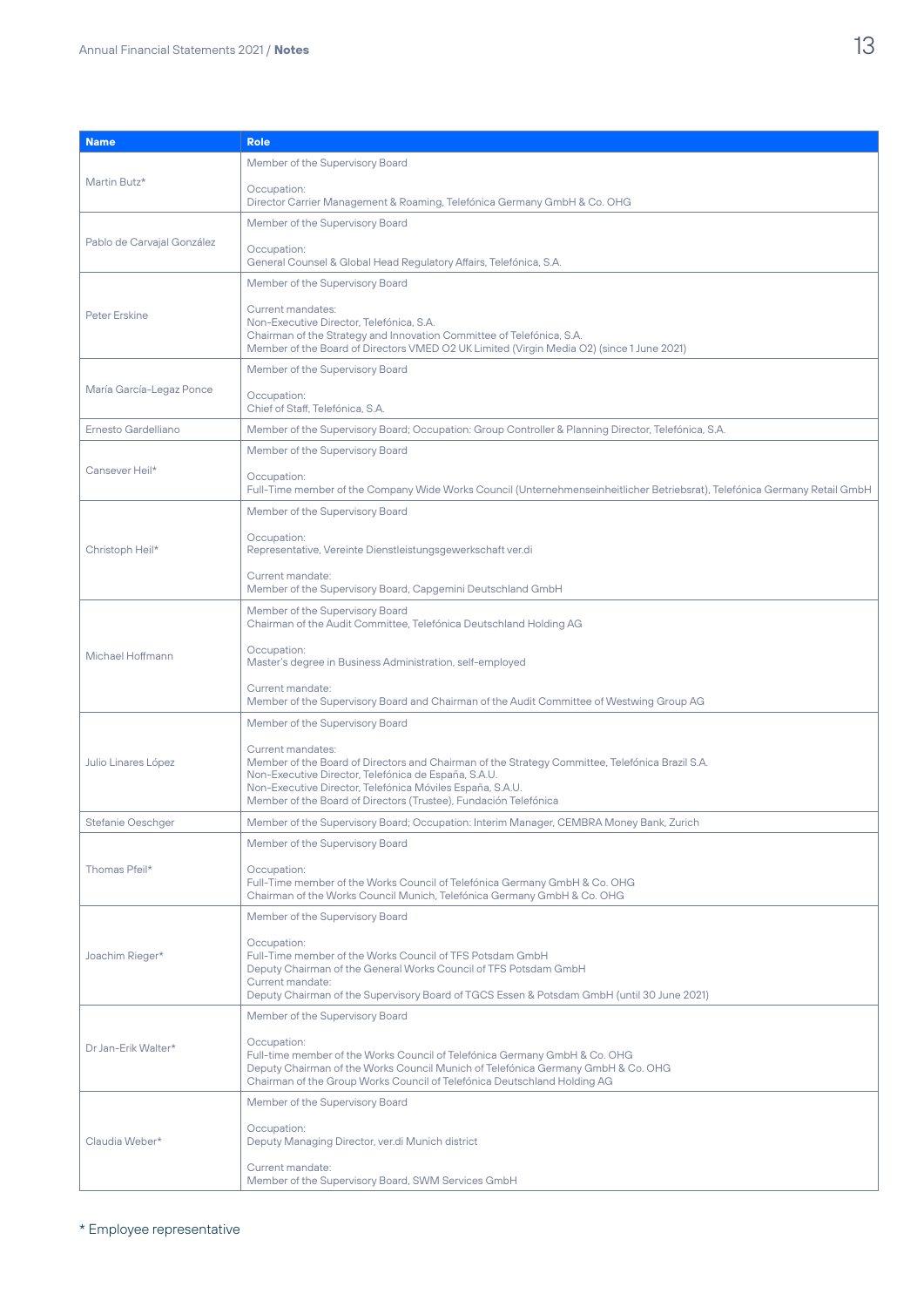| <b>Name</b>                | <b>Role</b>                                                                                                                                                                                                    |
|----------------------------|----------------------------------------------------------------------------------------------------------------------------------------------------------------------------------------------------------------|
|                            |                                                                                                                                                                                                                |
|                            | Member of the Supervisory Board                                                                                                                                                                                |
| Martin Butz*               | Occupation:<br>Director Carrier Management & Roaming, Telefónica Germany GmbH & Co. OHG                                                                                                                        |
|                            | Member of the Supervisory Board                                                                                                                                                                                |
| Pablo de Carvajal González |                                                                                                                                                                                                                |
|                            | Occupation:<br>General Counsel & Global Head Regulatory Affairs, Telefónica, S.A.                                                                                                                              |
|                            | Member of the Supervisory Board                                                                                                                                                                                |
| <b>Peter Erskine</b>       | Current mandates:                                                                                                                                                                                              |
|                            | Non-Executive Director, Telefónica, S.A.<br>Chairman of the Strategy and Innovation Committee of Telefónica, S.A.<br>Member of the Board of Directors VMED O2 UK Limited (Virgin Media O2) (since 1 June 2021) |
|                            | Member of the Supervisory Board                                                                                                                                                                                |
| María García-Legaz Ponce   | Occupation:<br>Chief of Staff, Telefónica, S.A.                                                                                                                                                                |
| Ernesto Gardelliano        | Member of the Supervisory Board; Occupation: Group Controller & Planning Director, Telefónica, S.A.                                                                                                            |
|                            | Member of the Supervisory Board                                                                                                                                                                                |
| Cansever Heil*             |                                                                                                                                                                                                                |
|                            | Occupation:<br>Full-Time member of the Company Wide Works Council (Unternehmenseinheitlicher Betriebsrat), Telefónica Germany Retail GmbH                                                                      |
|                            | Member of the Supervisory Board                                                                                                                                                                                |
| Christoph Heil*            | Occupation:<br>Representative, Vereinte Dienstleistungsgewerkschaft ver.di                                                                                                                                     |
|                            | Current mandate:<br>Member of the Supervisory Board, Capgemini Deutschland GmbH                                                                                                                                |
|                            | Member of the Supervisory Board<br>Chairman of the Audit Committee, Telefónica Deutschland Holding AG                                                                                                          |
| Michael Hoffmann           | Occupation:                                                                                                                                                                                                    |
|                            | Master's degree in Business Administration, self-employed                                                                                                                                                      |
|                            | Current mandate:<br>Member of the Supervisory Board and Chairman of the Audit Committee of Westwing Group AG                                                                                                   |
|                            | Member of the Supervisory Board                                                                                                                                                                                |
| Julio Linares López        | Current mandates:<br>Member of the Board of Directors and Chairman of the Strategy Committee, Telefónica Brazil S.A.                                                                                           |
|                            | Non-Executive Director, Telefónica de España, S.A.U.<br>Non-Executive Director, Telefónica Móviles España, S.A.U.                                                                                              |
|                            | Member of the Board of Directors (Trustee), Fundación Telefónica                                                                                                                                               |
| <b>Stefanie Oeschger</b>   | Member of the Supervisory Board; Occupation: Interim Manager, CEMBRA Money Bank, Zurich                                                                                                                        |
|                            | Member of the Supervisory Board                                                                                                                                                                                |
|                            | Occupation:                                                                                                                                                                                                    |
| Thomas Pfeil*              | Full-Time member of the Works Council of Telefónica Germany GmbH & Co. OHG<br>Chairman of the Works Council Munich, Telefónica Germany GmbH & Co. OHG                                                          |
|                            | Member of the Supervisory Board                                                                                                                                                                                |
|                            | Occupation:                                                                                                                                                                                                    |
| Joachim Rieger*            | Full-Time member of the Works Council of TFS Potsdam GmbH                                                                                                                                                      |
|                            | Deputy Chairman of the General Works Council of TFS Potsdam GmbH<br>Current mandate:                                                                                                                           |
|                            | Deputy Chairman of the Supervisory Board of TGCS Essen & Potsdam GmbH (until 30 June 2021)                                                                                                                     |
| Dr Jan-Erik Walter*        | Member of the Supervisory Board                                                                                                                                                                                |
|                            | Occupation:                                                                                                                                                                                                    |
|                            | Full-time member of the Works Council of Telefónica Germany GmbH & Co. OHG<br>Deputy Chairman of the Works Council Munich of Telefónica Germany GmbH & Co. OHG                                                 |
|                            | Chairman of the Group Works Council of Telefónica Deutschland Holding AG                                                                                                                                       |
|                            | Member of the Supervisory Board                                                                                                                                                                                |
| Claudia Weber*             | Occupation:<br>Deputy Managing Director, ver.di Munich district                                                                                                                                                |
|                            | Current mandate:                                                                                                                                                                                               |
|                            | Member of the Supervisory Board, SWM Services GmbH                                                                                                                                                             |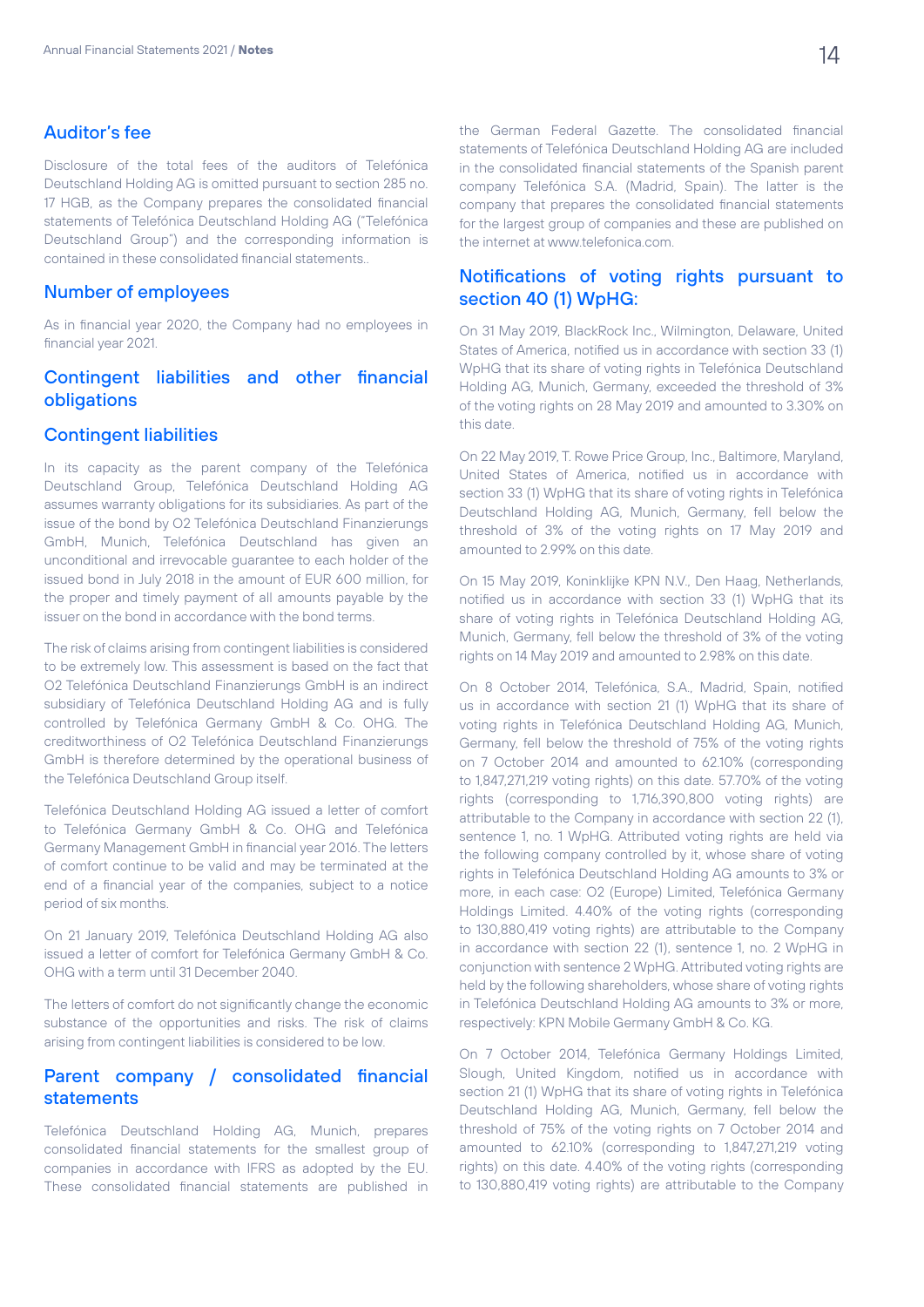### Auditor's fee

Disclosure of the total fees of the auditors of Telefónica Deutschland Holding AG is omitted pursuant to section 285 no. 17 HGB, as the Company prepares the consolidated financial statements of Telefónica Deutschland Holding AG ("Telefónica Deutschland Group") and the corresponding information is contained in these consolidated financial statements..

#### Number of employees

As in financial year 2020, the Company had no employees in financial year 2021.

# Contingent liabilities and other financial obligations

#### Contingent liabilities

In its capacity as the parent company of the Telefónica Deutschland Group, Telefónica Deutschland Holding AG assumes warranty obligations for its subsidiaries. As part of the issue of the bond by O2 Telefónica Deutschland Finanzierungs GmbH, Munich, Telefónica Deutschland has given an unconditional and irrevocable guarantee to each holder of the issued bond in July 2018 in the amount of EUR 600 million, for the proper and timely payment of all amounts payable by the issuer on the bond in accordance with the bond terms.

The risk of claims arising from contingent liabilities is considered to be extremely low. This assessment is based on the fact that O2 Telefónica Deutschland Finanzierungs GmbH is an indirect subsidiary of Telefónica Deutschland Holding AG and is fully controlled by Telefónica Germany GmbH & Co. OHG. The creditworthiness of O2 Telefónica Deutschland Finanzierungs GmbH is therefore determined by the operational business of the Telefónica Deutschland Group itself.

Telefónica Deutschland Holding AG issued a letter of comfort to Telefónica Germany GmbH & Co. OHG and Telefónica Germany Management GmbH in financial year 2016. The letters of comfort continue to be valid and may be terminated at the end of a financial year of the companies, subject to a notice period of six months.

On 21 January 2019, Telefónica Deutschland Holding AG also issued a letter of comfort for Telefónica Germany GmbH & Co. OHG with a term until 31 December 2040.

The letters of comfort do not significantly change the economic substance of the opportunities and risks. The risk of claims arising from contingent liabilities is considered to be low.

# Parent company / consolidated financial statements

Telefónica Deutschland Holding AG, Munich, prepares consolidated financial statements for the smallest group of companies in accordance with IFRS as adopted by the EU. These consolidated financial statements are published in the German Federal Gazette. The consolidated financial statements of Telefónica Deutschland Holding AG are included in the consolidated financial statements of the Spanish parent company Telefónica S.A. (Madrid, Spain). The latter is the company that prepares the consolidated financial statements for the largest group of companies and these are published on the internet at www.telefonica.com.

# Notifications of voting rights pursuant to section 40 (1) WpHG:

On 31 May 2019, BlackRock Inc., Wilmington, Delaware, United States of America, notified us in accordance with section 33 (1) WpHG that its share of voting rights in Telefónica Deutschland Holding AG, Munich, Germany, exceeded the threshold of 3% of the voting rights on 28 May 2019 and amounted to 3.30% on this date.

On 22 May 2019, T. Rowe Price Group, Inc., Baltimore, Maryland, United States of America, notified us in accordance with section 33 (1) WpHG that its share of voting rights in Telefónica Deutschland Holding AG, Munich, Germany, fell below the threshold of 3% of the voting rights on 17 May 2019 and amounted to 2.99% on this date.

On 15 May 2019, Koninklijke KPN N.V., Den Haag, Netherlands, notified us in accordance with section 33 (1) WpHG that its share of voting rights in Telefónica Deutschland Holding AG, Munich, Germany, fell below the threshold of 3% of the voting rights on 14 May 2019 and amounted to 2.98% on this date.

On 8 October 2014, Telefónica, S.A., Madrid, Spain, notified us in accordance with section 21 (1) WpHG that its share of voting rights in Telefónica Deutschland Holding AG, Munich, Germany, fell below the threshold of 75% of the voting rights on 7 October 2014 and amounted to 62.10% (corresponding to 1,847,271,219 voting rights) on this date. 57.70% of the voting rights (corresponding to 1,716,390,800 voting rights) are attributable to the Company in accordance with section 22 (1), sentence 1, no. 1 WpHG. Attributed voting rights are held via the following company controlled by it, whose share of voting rights in Telefónica Deutschland Holding AG amounts to 3% or more, in each case: O2 (Europe) Limited, Telefónica Germany Holdings Limited. 4.40% of the voting rights (corresponding to 130,880,419 voting rights) are attributable to the Company in accordance with section 22 (1), sentence 1, no. 2 WpHG in conjunction with sentence 2 WpHG. Attributed voting rights are held by the following shareholders, whose share of voting rights in Telefónica Deutschland Holding AG amounts to 3% or more, respectively: KPN Mobile Germany GmbH & Co. KG.

On 7 October 2014, Telefónica Germany Holdings Limited, Slough, United Kingdom, notified us in accordance with section 21 (1) WpHG that its share of voting rights in Telefónica Deutschland Holding AG, Munich, Germany, fell below the threshold of 75% of the voting rights on 7 October 2014 and amounted to 62.10% (corresponding to 1,847,271,219 voting rights) on this date. 4.40% of the voting rights (corresponding to 130,880,419 voting rights) are attributable to the Company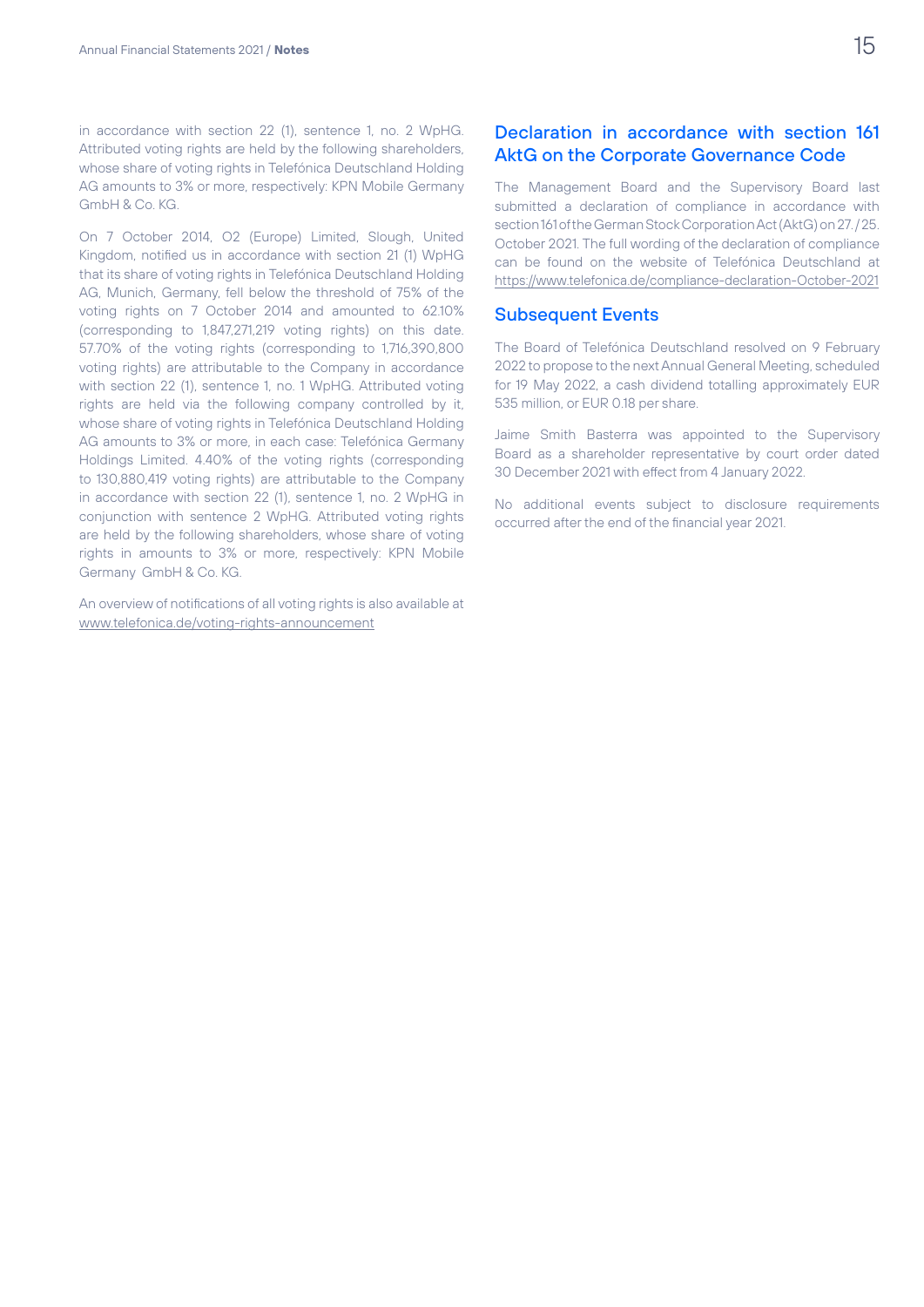in accordance with section 22 (1), sentence 1, no. 2 WpHG. Attributed voting rights are held by the following shareholders, whose share of voting rights in Telefónica Deutschland Holding AG amounts to 3% or more, respectively: KPN Mobile Germany GmbH & Co. KG.

On 7 October 2014, O2 (Europe) Limited, Slough, United Kingdom, notified us in accordance with section 21 (1) WpHG that its share of voting rights in Telefónica Deutschland Holding AG, Munich, Germany, fell below the threshold of 75% of the voting rights on 7 October 2014 and amounted to 62.10% (corresponding to 1,847,271,219 voting rights) on this date. 57.70% of the voting rights (corresponding to 1,716,390,800 voting rights) are attributable to the Company in accordance with section 22 (1), sentence 1, no. 1 WpHG. Attributed voting rights are held via the following company controlled by it, whose share of voting rights in Telefónica Deutschland Holding AG amounts to 3% or more, in each case: Telefónica Germany Holdings Limited. 4.40% of the voting rights (corresponding to 130,880,419 voting rights) are attributable to the Company in accordance with section 22 (1), sentence 1, no. 2 WpHG in conjunction with sentence 2 WpHG. Attributed voting rights are held by the following shareholders, whose share of voting rights in amounts to 3% or more, respectively: KPN Mobile Germany GmbH & Co. KG.

An overview of notifications of all voting rights is also available at www.telefonica.de/voting-rights-announcement

# Declaration in accordance with section 161 AktG on the Corporate Governance Code

The Management Board and the Supervisory Board last submitted a declaration of compliance in accordance with section 161 of the German Stock Corporation Act (AktG) on 27. / 25. October 2021. The full wording of the declaration of compliance can be found on the website of Telefónica Deutschland at https://www.telefonica.de/compliance-declaration-October-2021

#### Subsequent Events

The Board of Telefónica Deutschland resolved on 9 February 2022 to propose to the next Annual General Meeting, scheduled for 19 May 2022, a cash dividend totalling approximately EUR 535 million, or EUR 0.18 per share.

Jaime Smith Basterra was appointed to the Supervisory Board as a shareholder representative by court order dated 30 December 2021 with effect from 4 January 2022.

No additional events subject to disclosure requirements occurred after the end of the financial year 2021.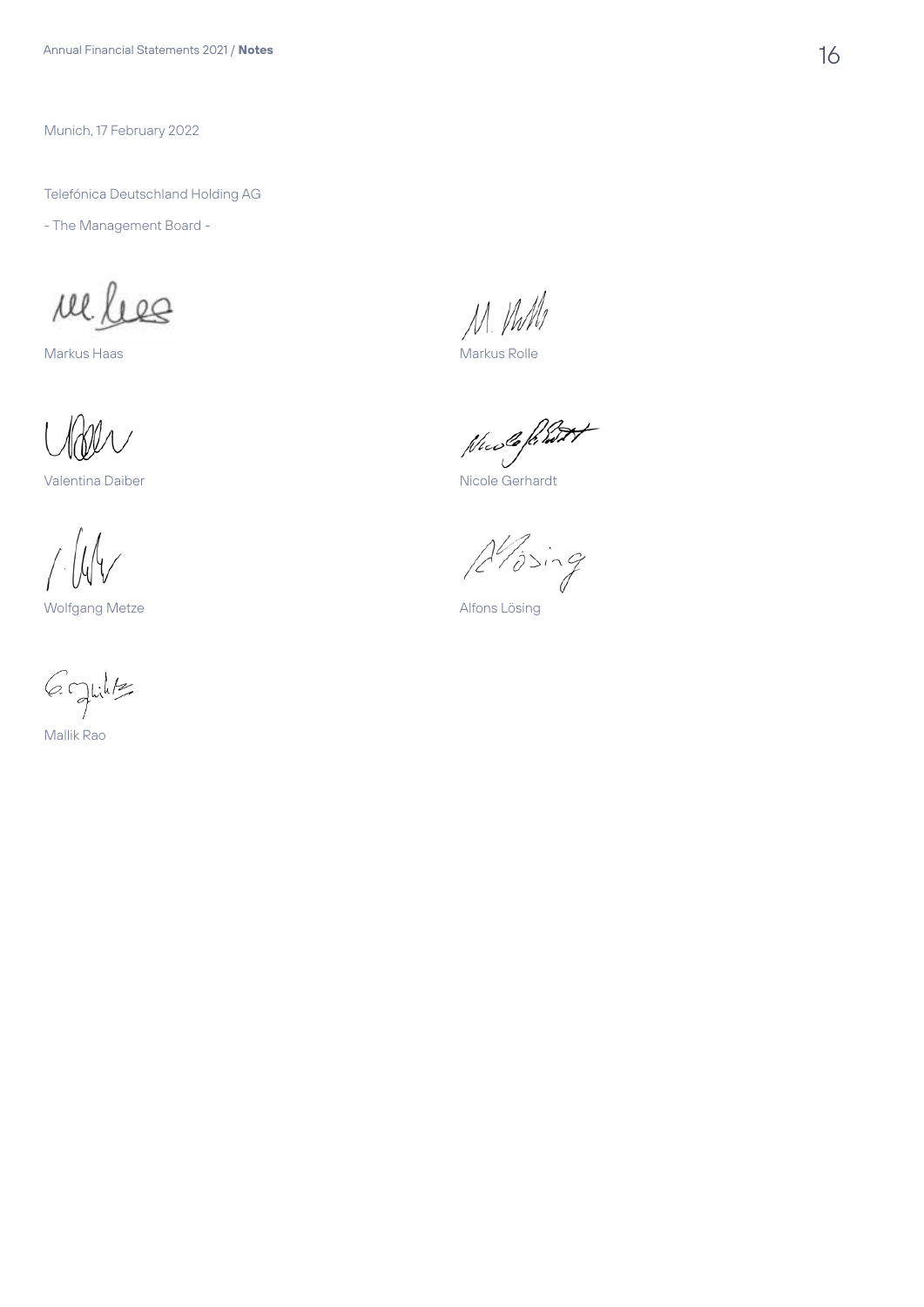Munich, 17 February 2022

Telefónica Deutschland Holding AG

- The Management Board -

reles

Markus Haas

Valentina Daiber

 $\int \int \psi$ 

Wolfgang Metze

6 Juilt Mallik Rao

M. Vulls

Markus Rolle

Nuele frant

 $A'$ ising

Alfons Lösing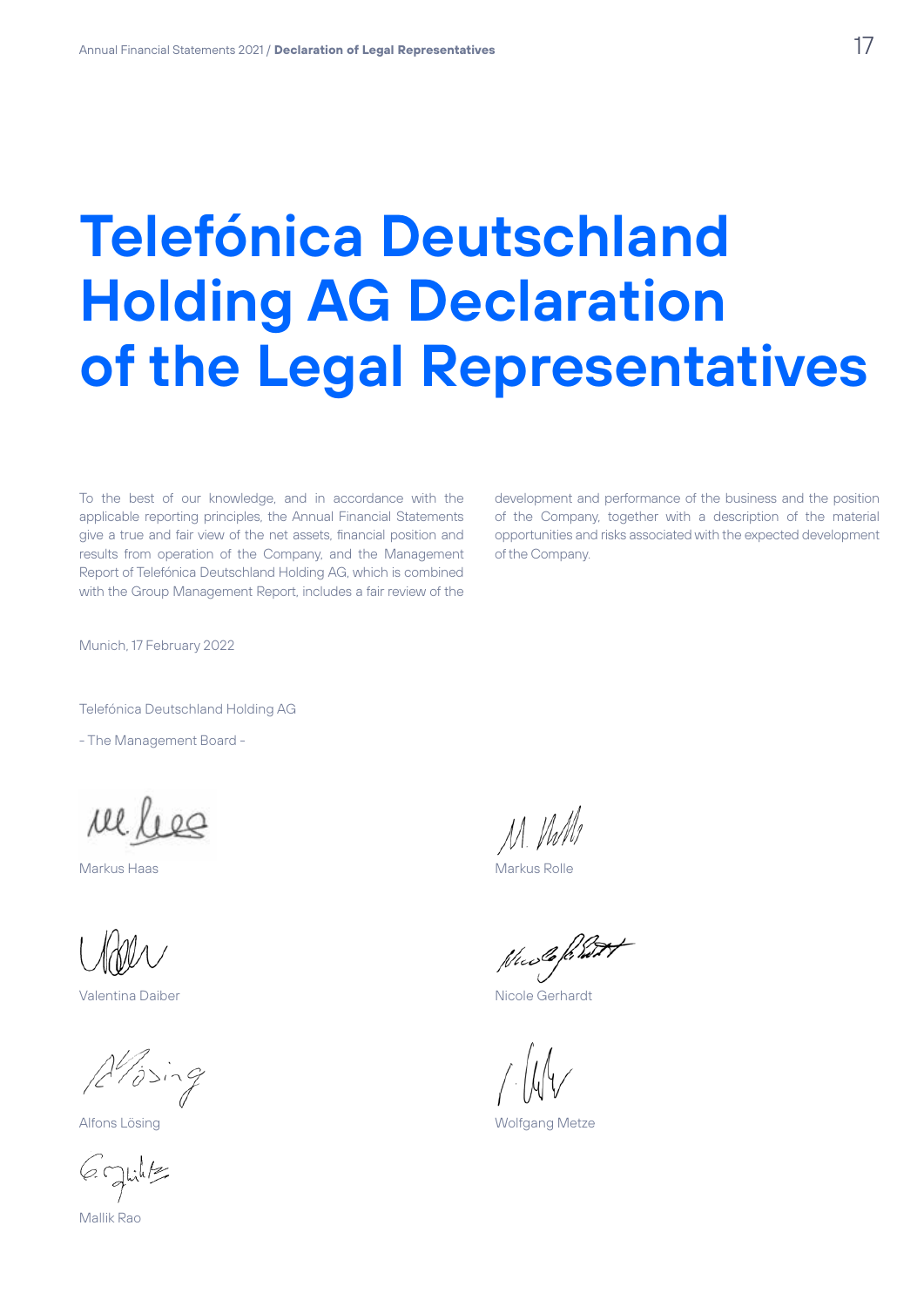# **Telefónica Deutschland Holding AG Declaration of the Legal Representatives**

To the best of our knowledge, and in accordance with the applicable reporting principles, the Annual Financial Statements give a true and fair view of the net assets, financial position and results from operation of the Company, and the Management Report of Telefónica Deutschland Holding AG, which is combined with the Group Management Report, includes a fair review of the

development and performance of the business and the position of the Company, together with a description of the material opportunities and risks associated with the expected development of the Company.

Munich, 17 February 2022

Telefónica Deutschland Holding AG

- The Management Board -

reles

Markus Haas

Valentina Daiber

Alising

Alfons Lösing

Graphilts

Mallik Rao

M. VhM

Markus Rolle

Nucle friend t

Wolfgang Metze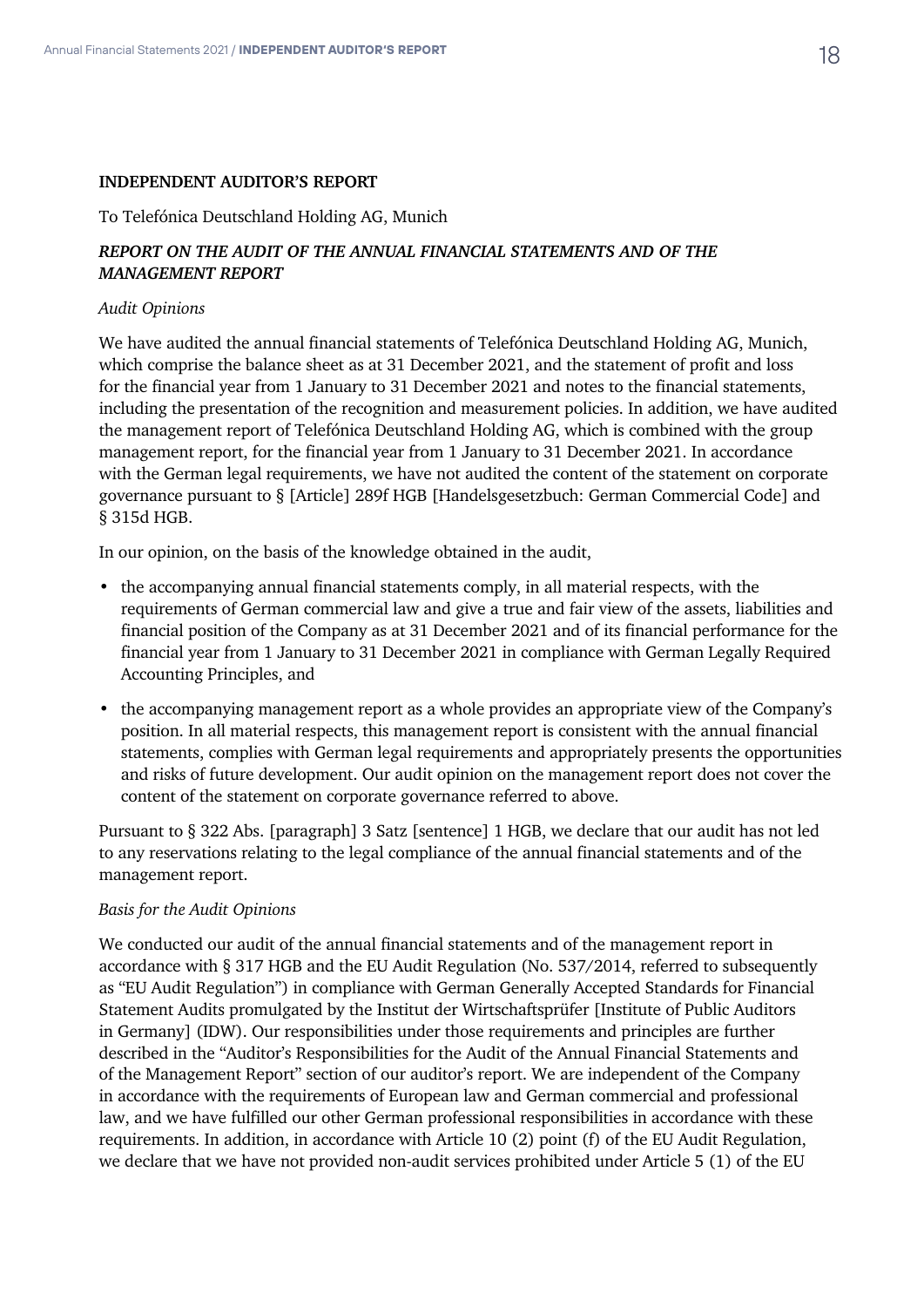#### **INDEPENDENT AUDITOR'S REPORT**

To Telefónica Deutschland Holding AG, Munich

## *REPORT ON THE AUDIT OF THE ANNUAL FINANCIAL STATEMENTS AND OF THE MANAGEMENT REPORT*

#### *Audit Opinions*

We have audited the annual financial statements of Telefónica Deutschland Holding AG, Munich, which comprise the balance sheet as at 31 December 2021, and the statement of profit and loss for the financial year from 1 January to 31 December 2021 and notes to the financial statements, including the presentation of the recognition and measurement policies. In addition, we have audited the management report of Telefónica Deutschland Holding AG, which is combined with the group management report, for the financial year from 1 January to 31 December 2021. In accordance with the German legal requirements, we have not audited the content of the statement on corporate governance pursuant to § [Article] 289f HGB [Handelsgesetzbuch: German Commercial Code] and § 315d HGB.

In our opinion, on the basis of the knowledge obtained in the audit,

- the accompanying annual financial statements comply, in all material respects, with the requirements of German commercial law and give a true and fair view of the assets, liabilities and financial position of the Company as at 31 December 2021 and of its financial performance for the financial year from 1 January to 31 December 2021 in compliance with German Legally Required Accounting Principles, and
- the accompanying management report as a whole provides an appropriate view of the Company's position. In all material respects, this management report is consistent with the annual financial statements, complies with German legal requirements and appropriately presents the opportunities and risks of future development. Our audit opinion on the management report does not cover the content of the statement on corporate governance referred to above.

Pursuant to § 322 Abs. [paragraph] 3 Satz [sentence] 1 HGB, we declare that our audit has not led to any reservations relating to the legal compliance of the annual financial statements and of the management report.

#### *Basis for the Audit Opinions*

We conducted our audit of the annual financial statements and of the management report in accordance with § 317 HGB and the EU Audit Regulation (No. 537/2014, referred to subsequently as "EU Audit Regulation") in compliance with German Generally Accepted Standards for Financial Statement Audits promulgated by the Institut der Wirtschaftsprüfer [Institute of Public Auditors in Germany] (IDW). Our responsibilities under those requirements and principles are further described in the "Auditor's Responsibilities for the Audit of the Annual Financial Statements and of the Management Report" section of our auditor's report. We are independent of the Company in accordance with the requirements of European law and German commercial and professional law, and we have fulfilled our other German professional responsibilities in accordance with these requirements. In addition, in accordance with Article 10 (2) point (f) of the EU Audit Regulation, we declare that we have not provided non-audit services prohibited under Article 5 (1) of the EU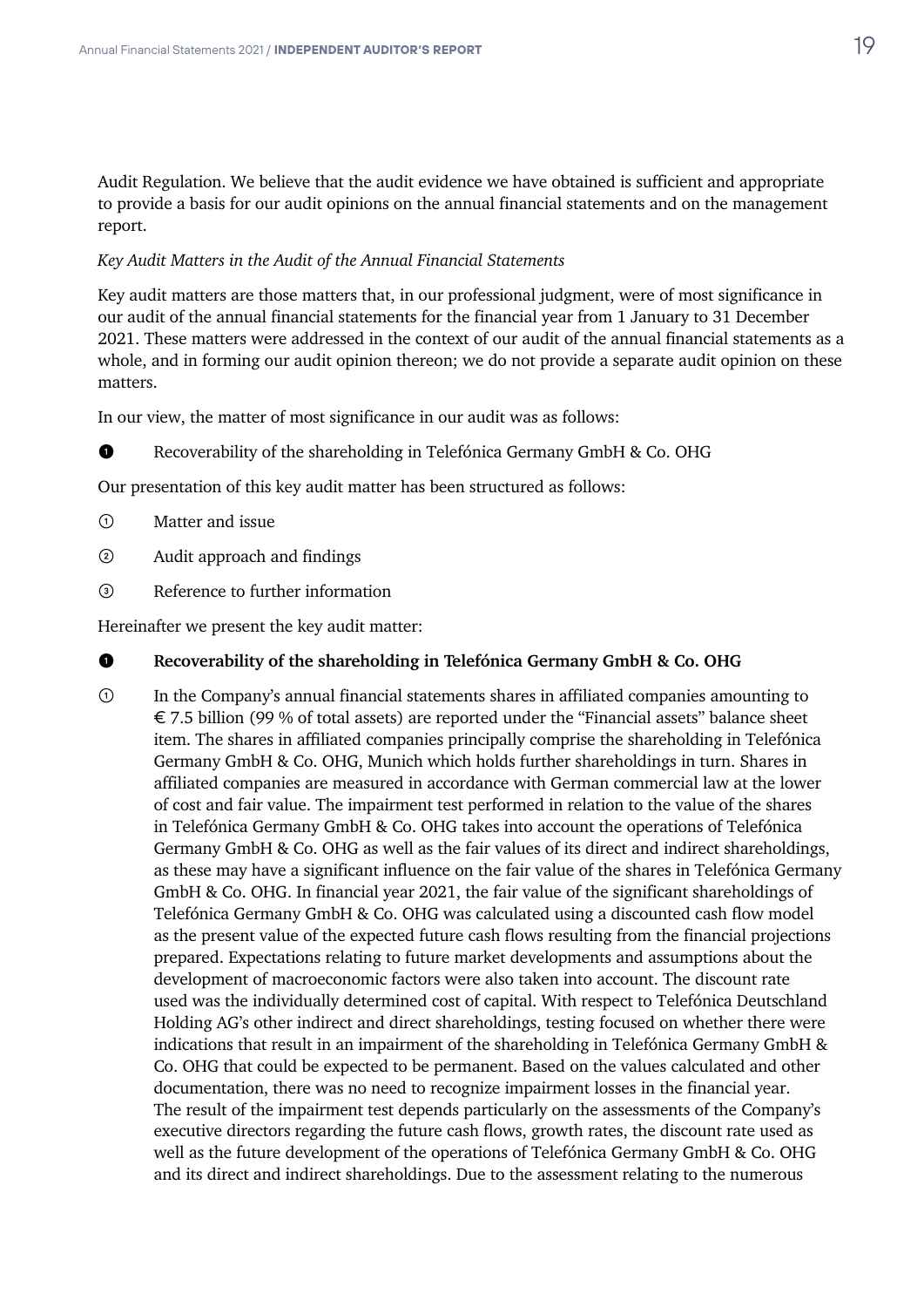Audit Regulation. We believe that the audit evidence we have obtained is sufficient and appropriate to provide a basis for our audit opinions on the annual financial statements and on the management report.

#### *Key Audit Matters in the Audit of the Annual Financial Statements*

Key audit matters are those matters that, in our professional judgment, were of most significance in our audit of the annual financial statements for the financial year from 1 January to 31 December 2021. These matters were addressed in the context of our audit of the annual financial statements as a whole, and in forming our audit opinion thereon; we do not provide a separate audit opinion on these matters.

In our view, the matter of most significance in our audit was as follows:

❶ Recoverability of the shareholding in Telefónica Germany GmbH & Co. OHG

Our presentation of this key audit matter has been structured as follows:

- ① Matter and issue
- ② Audit approach and findings
- ③ Reference to further information

Hereinafter we present the key audit matter:

# ❶ **Recoverability of the shareholding in Telefónica Germany GmbH & Co. OHG**

① In the Company's annual financial statements shares in affiliated companies amounting to € 7.5 billion (99 % of total assets) are reported under the "Financial assets" balance sheet item. The shares in affiliated companies principally comprise the shareholding in Telefónica Germany GmbH & Co. OHG, Munich which holds further shareholdings in turn. Shares in affiliated companies are measured in accordance with German commercial law at the lower of cost and fair value. The impairment test performed in relation to the value of the shares in Telefónica Germany GmbH & Co. OHG takes into account the operations of Telefónica Germany GmbH & Co. OHG as well as the fair values of its direct and indirect shareholdings, as these may have a significant influence on the fair value of the shares in Telefónica Germany GmbH & Co. OHG. In financial year 2021, the fair value of the significant shareholdings of Telefónica Germany GmbH & Co. OHG was calculated using a discounted cash flow model as the present value of the expected future cash flows resulting from the financial projections prepared. Expectations relating to future market developments and assumptions about the development of macroeconomic factors were also taken into account. The discount rate used was the individually determined cost of capital. With respect to Telefónica Deutschland Holding AG's other indirect and direct shareholdings, testing focused on whether there were indications that result in an impairment of the shareholding in Telefónica Germany GmbH & Co. OHG that could be expected to be permanent. Based on the values calculated and other documentation, there was no need to recognize impairment losses in the financial year. The result of the impairment test depends particularly on the assessments of the Company's executive directors regarding the future cash flows, growth rates, the discount rate used as well as the future development of the operations of Telefónica Germany GmbH & Co. OHG and its direct and indirect shareholdings. Due to the assessment relating to the numerous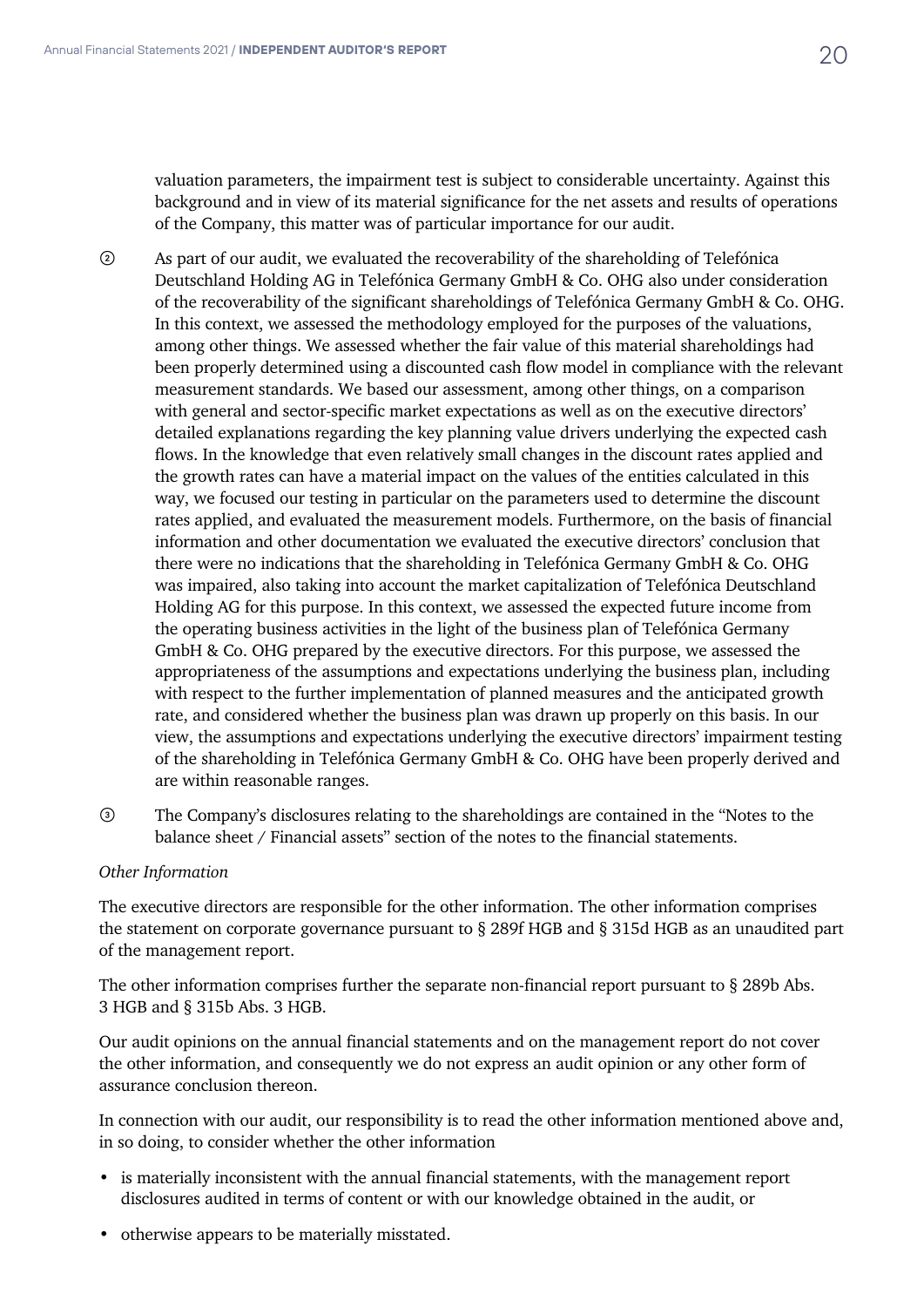valuation parameters, the impairment test is subject to considerable uncertainty. Against this background and in view of its material significance for the net assets and results of operations of the Company, this matter was of particular importance for our audit.

- ② As part of our audit, we evaluated the recoverability of the shareholding of Telefónica Deutschland Holding AG in Telefónica Germany GmbH & Co. OHG also under consideration of the recoverability of the significant shareholdings of Telefónica Germany GmbH & Co. OHG. In this context, we assessed the methodology employed for the purposes of the valuations, among other things. We assessed whether the fair value of this material shareholdings had been properly determined using a discounted cash flow model in compliance with the relevant measurement standards. We based our assessment, among other things, on a comparison with general and sector-specific market expectations as well as on the executive directors' detailed explanations regarding the key planning value drivers underlying the expected cash flows. In the knowledge that even relatively small changes in the discount rates applied and the growth rates can have a material impact on the values of the entities calculated in this way, we focused our testing in particular on the parameters used to determine the discount rates applied, and evaluated the measurement models. Furthermore, on the basis of financial information and other documentation we evaluated the executive directors' conclusion that there were no indications that the shareholding in Telefónica Germany GmbH & Co. OHG was impaired, also taking into account the market capitalization of Telefónica Deutschland Holding AG for this purpose. In this context, we assessed the expected future income from the operating business activities in the light of the business plan of Telefónica Germany GmbH & Co. OHG prepared by the executive directors. For this purpose, we assessed the appropriateness of the assumptions and expectations underlying the business plan, including with respect to the further implementation of planned measures and the anticipated growth rate, and considered whether the business plan was drawn up properly on this basis. In our view, the assumptions and expectations underlying the executive directors' impairment testing of the shareholding in Telefónica Germany GmbH & Co. OHG have been properly derived and are within reasonable ranges.
- ③ The Company's disclosures relating to the shareholdings are contained in the "Notes to the balance sheet / Financial assets" section of the notes to the financial statements.

### *Other Information*

The executive directors are responsible for the other information. The other information comprises the statement on corporate governance pursuant to § 289f HGB and § 315d HGB as an unaudited part of the management report.

The other information comprises further the separate non-financial report pursuant to  $\S$  289b Abs. 3 HGB and § 315b Abs. 3 HGB.

Our audit opinions on the annual financial statements and on the management report do not cover the other information, and consequently we do not express an audit opinion or any other form of assurance conclusion thereon.

In connection with our audit, our responsibility is to read the other information mentioned above and, in so doing, to consider whether the other information

- is materially inconsistent with the annual financial statements, with the management report disclosures audited in terms of content or with our knowledge obtained in the audit, or
- otherwise appears to be materially misstated.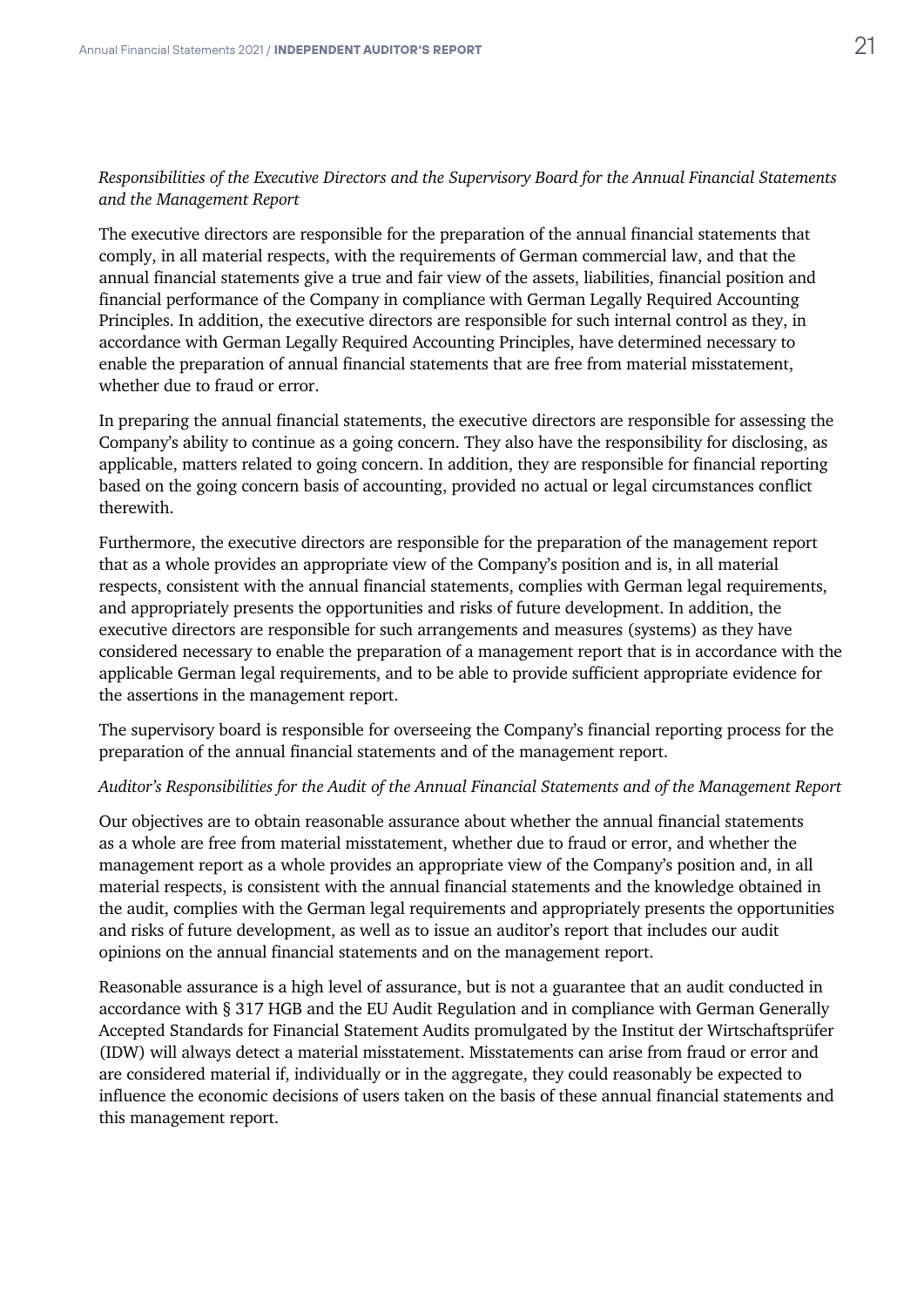# *Responsibilities of the Executive Directors and the Supervisory Board for the Annual Financial Statements and the Management Report*

The executive directors are responsible for the preparation of the annual financial statements that comply, in all material respects, with the requirements of German commercial law, and that the annual financial statements give a true and fair view of the assets, liabilities, financial position and financial performance of the Company in compliance with German Legally Required Accounting Principles. In addition, the executive directors are responsible for such internal control as they, in accordance with German Legally Required Accounting Principles, have determined necessary to enable the preparation of annual financial statements that are free from material misstatement, whether due to fraud or error.

In preparing the annual financial statements, the executive directors are responsible for assessing the Company's ability to continue as a going concern. They also have the responsibility for disclosing, as applicable, matters related to going concern. In addition, they are responsible for financial reporting based on the going concern basis of accounting, provided no actual or legal circumstances conflict therewith.

Furthermore, the executive directors are responsible for the preparation of the management report that as a whole provides an appropriate view of the Company's position and is, in all material respects, consistent with the annual financial statements, complies with German legal requirements, and appropriately presents the opportunities and risks of future development. In addition, the executive directors are responsible for such arrangements and measures (systems) as they have considered necessary to enable the preparation of a management report that is in accordance with the applicable German legal requirements, and to be able to provide sufficient appropriate evidence for the assertions in the management report.

The supervisory board is responsible for overseeing the Company's financial reporting process for the preparation of the annual financial statements and of the management report.

#### *Auditor's Responsibilities for the Audit of the Annual Financial Statements and of the Management Report*

Our objectives are to obtain reasonable assurance about whether the annual financial statements as a whole are free from material misstatement, whether due to fraud or error, and whether the management report as a whole provides an appropriate view of the Company's position and, in all material respects, is consistent with the annual financial statements and the knowledge obtained in the audit, complies with the German legal requirements and appropriately presents the opportunities and risks of future development, as well as to issue an auditor's report that includes our audit opinions on the annual financial statements and on the management report.

Reasonable assurance is a high level of assurance, but is not a guarantee that an audit conducted in accordance with § 317 HGB and the EU Audit Regulation and in compliance with German Generally Accepted Standards for Financial Statement Audits promulgated by the Institut der Wirtschaftsprüfer (IDW) will always detect a material misstatement. Misstatements can arise from fraud or error and are considered material if, individually or in the aggregate, they could reasonably be expected to influence the economic decisions of users taken on the basis of these annual financial statements and this management report.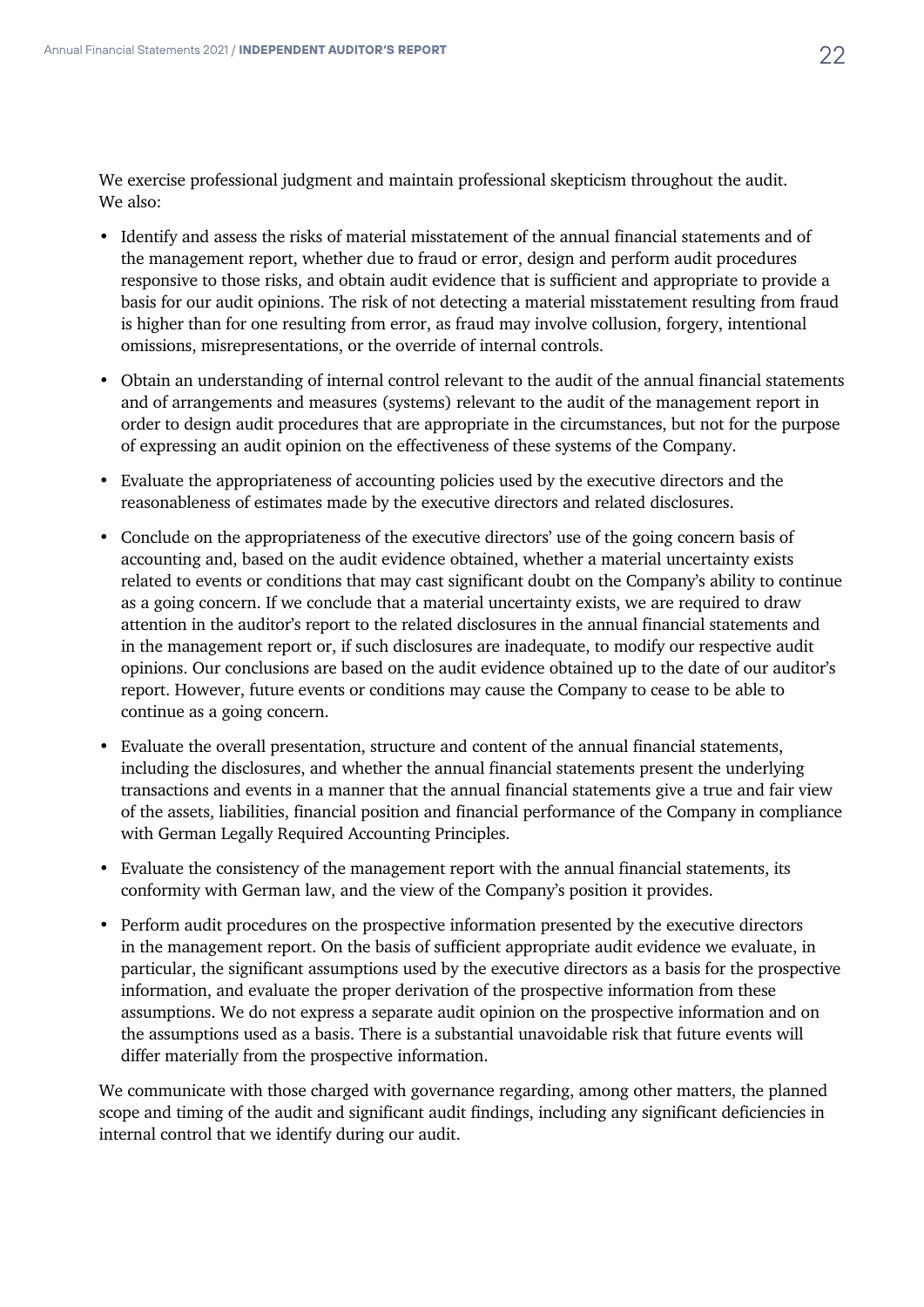We exercise professional judgment and maintain professional skepticism throughout the audit. We also:

- Identify and assess the risks of material misstatement of the annual financial statements and of the management report, whether due to fraud or error, design and perform audit procedures responsive to those risks, and obtain audit evidence that is sufficient and appropriate to provide a basis for our audit opinions. The risk of not detecting a material misstatement resulting from fraud is higher than for one resulting from error, as fraud may involve collusion, forgery, intentional omissions, misrepresentations, or the override of internal controls.
- Obtain an understanding of internal control relevant to the audit of the annual financial statements and of arrangements and measures (systems) relevant to the audit of the management report in order to design audit procedures that are appropriate in the circumstances, but not for the purpose of expressing an audit opinion on the effectiveness of these systems of the Company.
- Evaluate the appropriateness of accounting policies used by the executive directors and the reasonableness of estimates made by the executive directors and related disclosures.
- Conclude on the appropriateness of the executive directors' use of the going concern basis of accounting and, based on the audit evidence obtained, whether a material uncertainty exists related to events or conditions that may cast significant doubt on the Company's ability to continue as a going concern. If we conclude that a material uncertainty exists, we are required to draw attention in the auditor's report to the related disclosures in the annual financial statements and in the management report or, if such disclosures are inadequate, to modify our respective audit opinions. Our conclusions are based on the audit evidence obtained up to the date of our auditor's report. However, future events or conditions may cause the Company to cease to be able to continue as a going concern.
- Evaluate the overall presentation, structure and content of the annual financial statements, including the disclosures, and whether the annual financial statements present the underlying transactions and events in a manner that the annual financial statements give a true and fair view of the assets, liabilities, financial position and financial performance of the Company in compliance with German Legally Required Accounting Principles.
- Evaluate the consistency of the management report with the annual financial statements, its conformity with German law, and the view of the Company's position it provides.
- Perform audit procedures on the prospective information presented by the executive directors in the management report. On the basis of sufficient appropriate audit evidence we evaluate, in particular, the significant assumptions used by the executive directors as a basis for the prospective information, and evaluate the proper derivation of the prospective information from these assumptions. We do not express a separate audit opinion on the prospective information and on the assumptions used as a basis. There is a substantial unavoidable risk that future events will differ materially from the prospective information.

We communicate with those charged with governance regarding, among other matters, the planned scope and timing of the audit and significant audit findings, including any significant deficiencies in internal control that we identify during our audit.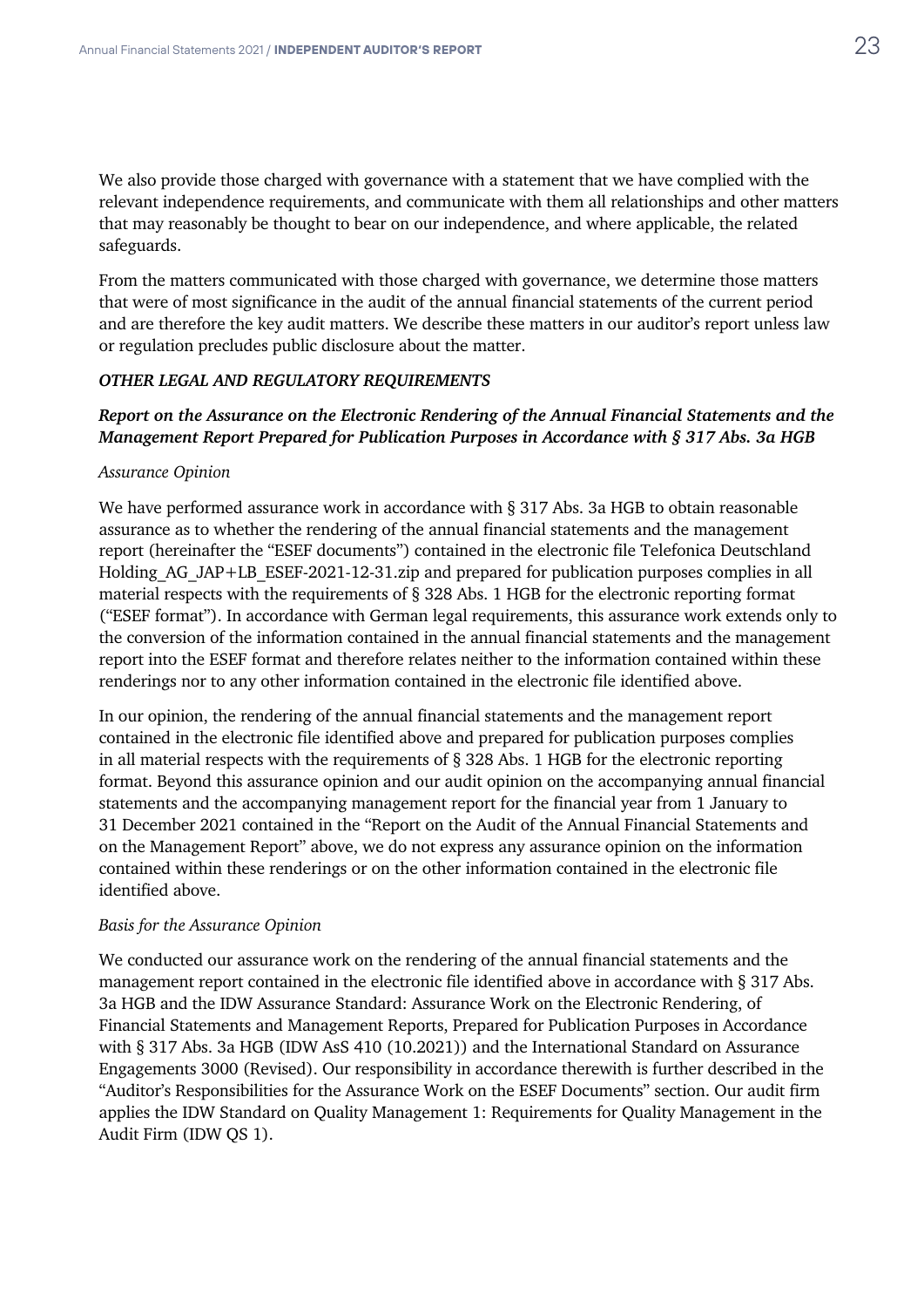We also provide those charged with governance with a statement that we have complied with the relevant independence requirements, and communicate with them all relationships and other matters that may reasonably be thought to bear on our independence, and where applicable, the related safeguards.

From the matters communicated with those charged with governance, we determine those matters that were of most significance in the audit of the annual financial statements of the current period and are therefore the key audit matters. We describe these matters in our auditor's report unless law or regulation precludes public disclosure about the matter.

#### *OTHER LEGAL AND REGULATORY REQUIREMENTS*

# *Report on the Assurance on the Electronic Rendering of the Annual Financial Statements and the Management Report Prepared for Publication Purposes in Accordance with § 317 Abs. 3a HGB*

#### *Assurance Opinion*

We have performed assurance work in accordance with  $\S 317$  Abs. 3a HGB to obtain reasonable assurance as to whether the rendering of the annual financial statements and the management report (hereinafter the "ESEF documents") contained in the electronic file Telefonica Deutschland Holding AG JAP+LB ESEF-2021-12-31.zip and prepared for publication purposes complies in all material respects with the requirements of § 328 Abs. 1 HGB for the electronic reporting format ("ESEF format"). In accordance with German legal requirements, this assurance work extends only to the conversion of the information contained in the annual financial statements and the management report into the ESEF format and therefore relates neither to the information contained within these renderings nor to any other information contained in the electronic file identified above.

In our opinion, the rendering of the annual financial statements and the management report contained in the electronic file identified above and prepared for publication purposes complies in all material respects with the requirements of § 328 Abs. 1 HGB for the electronic reporting format. Beyond this assurance opinion and our audit opinion on the accompanying annual financial statements and the accompanying management report for the financial year from 1 January to 31 December 2021 contained in the "Report on the Audit of the Annual Financial Statements and on the Management Report" above, we do not express any assurance opinion on the information contained within these renderings or on the other information contained in the electronic file identified above.

#### *Basis for the Assurance Opinion*

We conducted our assurance work on the rendering of the annual financial statements and the management report contained in the electronic file identified above in accordance with § 317 Abs. 3a HGB and the IDW Assurance Standard: Assurance Work on the Electronic Rendering, of Financial Statements and Management Reports, Prepared for Publication Purposes in Accordance with § 317 Abs. 3a HGB (IDW AsS 410 (10.2021)) and the International Standard on Assurance Engagements 3000 (Revised). Our responsibility in accordance therewith is further described in the "Auditor's Responsibilities for the Assurance Work on the ESEF Documents" section. Our audit firm applies the IDW Standard on Quality Management 1: Requirements for Quality Management in the Audit Firm (IDW QS 1).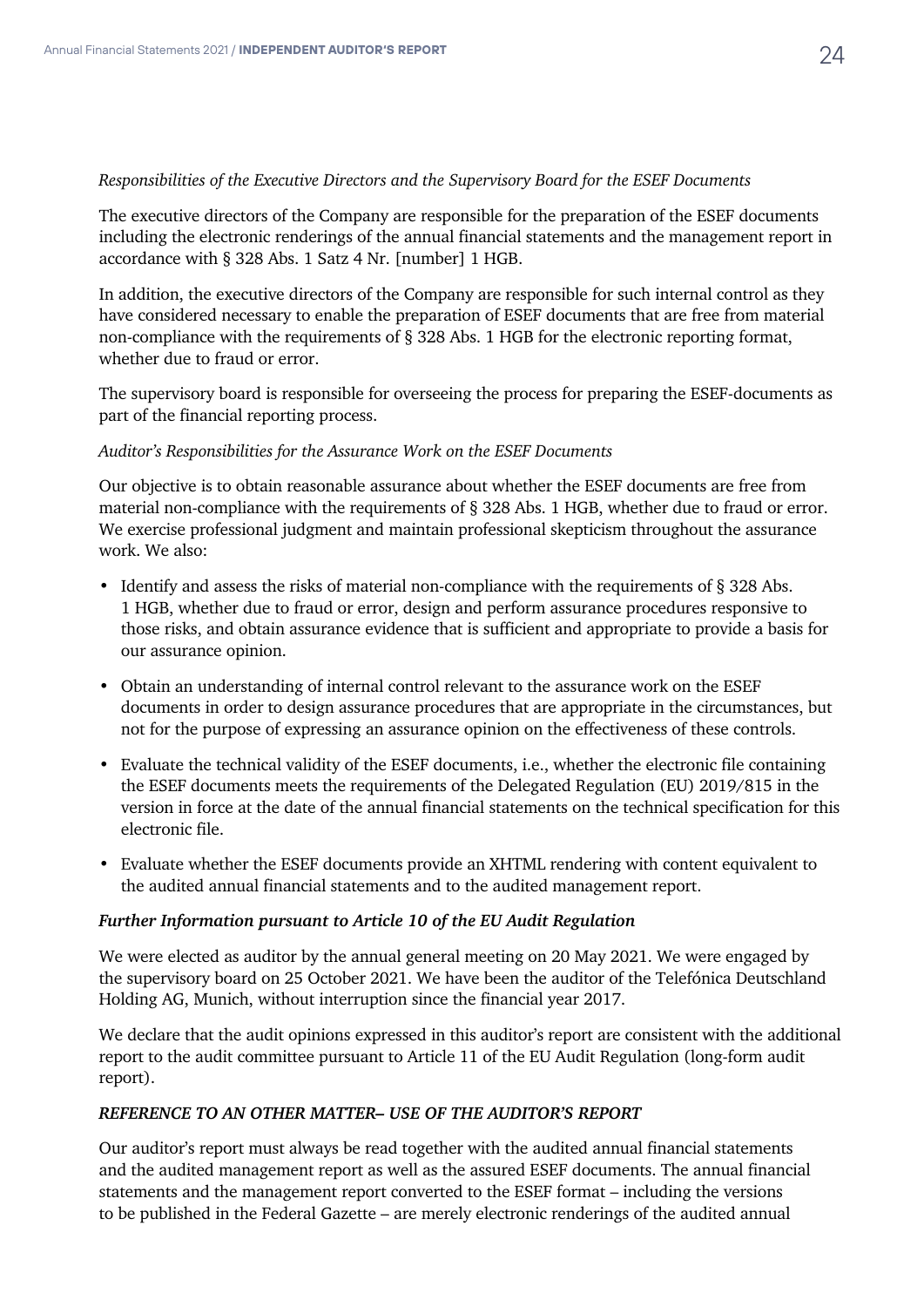### *Responsibilities of the Executive Directors and the Supervisory Board for the ESEF Documents*

The executive directors of the Company are responsible for the preparation of the ESEF documents including the electronic renderings of the annual financial statements and the management report in accordance with § 328 Abs. 1 Satz 4 Nr. [number] 1 HGB.

In addition, the executive directors of the Company are responsible for such internal control as they have considered necessary to enable the preparation of ESEF documents that are free from material non-compliance with the requirements of § 328 Abs. 1 HGB for the electronic reporting format, whether due to fraud or error.

The supervisory board is responsible for overseeing the process for preparing the ESEF-documents as part of the financial reporting process.

### *Auditor's Responsibilities for the Assurance Work on the ESEF Documents*

Our objective is to obtain reasonable assurance about whether the ESEF documents are free from material non-compliance with the requirements of § 328 Abs. 1 HGB, whether due to fraud or error. We exercise professional judgment and maintain professional skepticism throughout the assurance work. We also:

- Identify and assess the risks of material non-compliance with the requirements of § 328 Abs. 1 HGB, whether due to fraud or error, design and perform assurance procedures responsive to those risks, and obtain assurance evidence that is sufficient and appropriate to provide a basis for our assurance opinion.
- Obtain an understanding of internal control relevant to the assurance work on the ESEF documents in order to design assurance procedures that are appropriate in the circumstances, but not for the purpose of expressing an assurance opinion on the effectiveness of these controls.
- Evaluate the technical validity of the ESEF documents, i.e., whether the electronic file containing the ESEF documents meets the requirements of the Delegated Regulation (EU) 2019/815 in the version in force at the date of the annual financial statements on the technical specification for this electronic file.
- Evaluate whether the ESEF documents provide an XHTML rendering with content equivalent to the audited annual financial statements and to the audited management report.

# *Further Information pursuant to Article 10 of the EU Audit Regulation*

We were elected as auditor by the annual general meeting on 20 May 2021. We were engaged by the supervisory board on 25 October 2021. We have been the auditor of the Telefónica Deutschland Holding AG, Munich, without interruption since the financial year 2017.

We declare that the audit opinions expressed in this auditor's report are consistent with the additional report to the audit committee pursuant to Article 11 of the EU Audit Regulation (long-form audit report).

# *REFERENCE TO AN OTHER MATTER– USE OF THE AUDITOR'S REPORT*

Our auditor's report must always be read together with the audited annual financial statements and the audited management report as well as the assured ESEF documents. The annual financial statements and the management report converted to the ESEF format – including the versions to be published in the Federal Gazette – are merely electronic renderings of the audited annual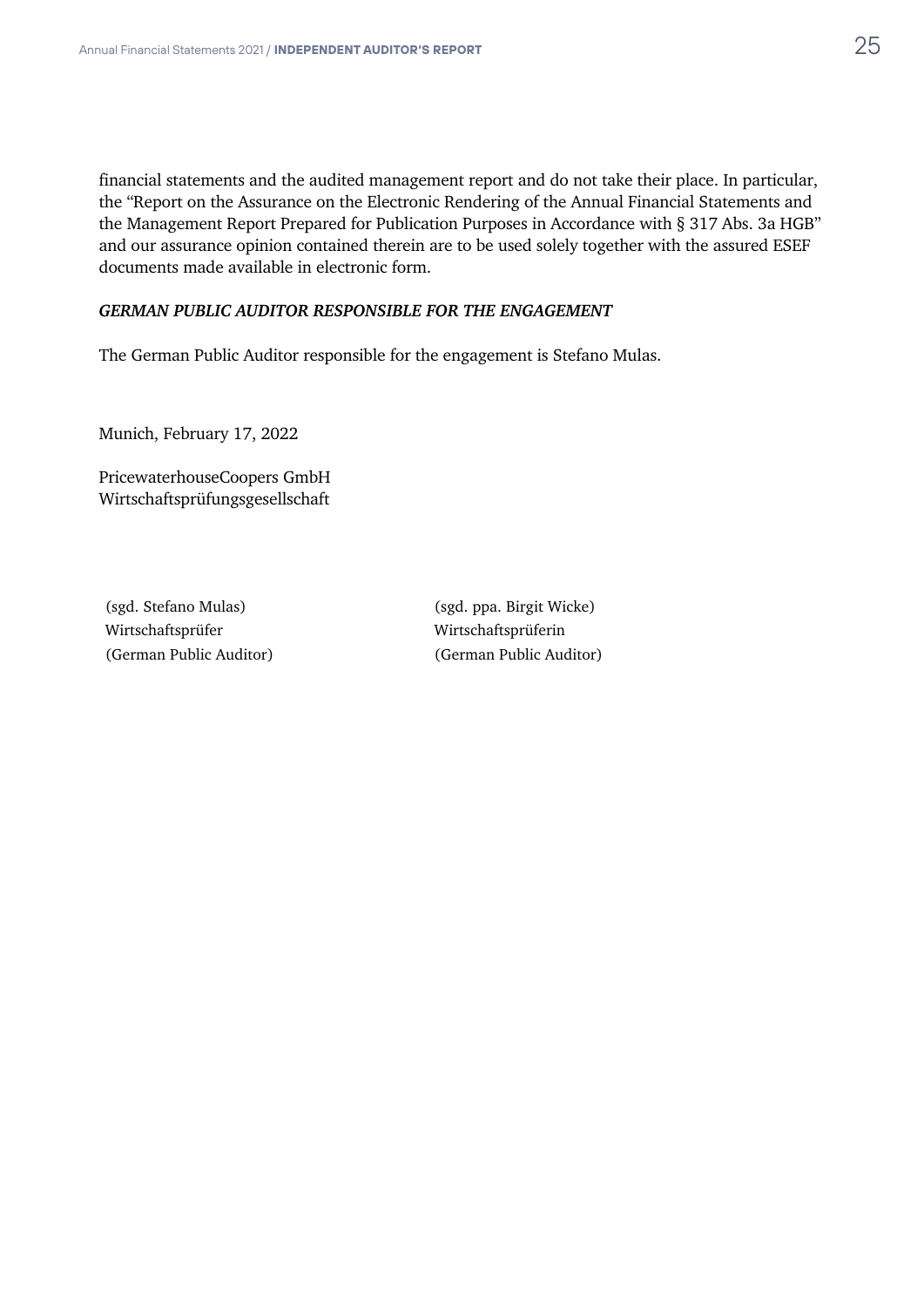financial statements and the audited management report and do not take their place. In particular, the "Report on the Assurance on the Electronic Rendering of the Annual Financial Statements and the Management Report Prepared for Publication Purposes in Accordance with § 317 Abs. 3a HGB" and our assurance opinion contained therein are to be used solely together with the assured ESEF documents made available in electronic form.

#### *GERMAN PUBLIC AUDITOR RESPONSIBLE FOR THE ENGAGEMENT*

The German Public Auditor responsible for the engagement is Stefano Mulas.

Munich, February 17, 2022

PricewaterhouseCoopers GmbH Wirtschaftsprüfungsgesellschaft

Wirtschaftsprüfer Wirtschaftsprüferin (German Public Auditor) (German Public Auditor)

(sgd. Stefano Mulas) (sgd. ppa. Birgit Wicke)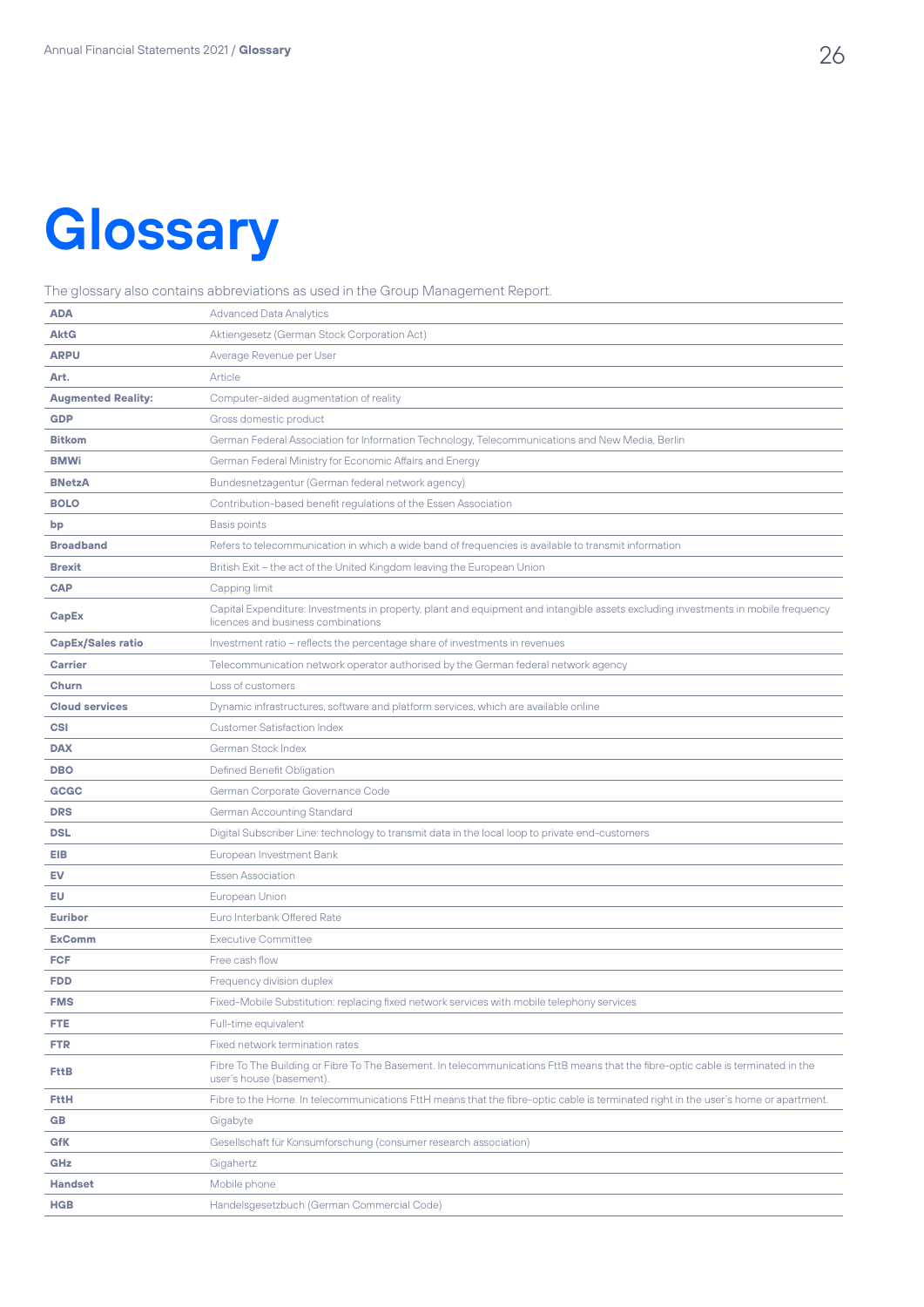# **Glossary**

The glossary also contains abbreviations as used in the Group Management Report.

| <b>ADA</b>                | <b>Advanced Data Analytics</b>                                                                                                                                          |
|---------------------------|-------------------------------------------------------------------------------------------------------------------------------------------------------------------------|
| <b>AktG</b>               | Aktiengesetz (German Stock Corporation Act)                                                                                                                             |
| <b>ARPU</b>               | Average Revenue per User                                                                                                                                                |
| Art.                      | Article                                                                                                                                                                 |
| <b>Augmented Reality:</b> | Computer-aided augmentation of reality                                                                                                                                  |
| <b>GDP</b>                | Gross domestic product                                                                                                                                                  |
| <b>Bitkom</b>             | German Federal Association for Information Technology, Telecommunications and New Media, Berlin                                                                         |
| <b>BMWi</b>               | German Federal Ministry for Economic Affairs and Energy                                                                                                                 |
| <b>BNetzA</b>             | Bundesnetzagentur (German federal network agency)                                                                                                                       |
| <b>BOLO</b>               | Contribution-based benefit regulations of the Essen Association                                                                                                         |
| bp                        | <b>Basis points</b>                                                                                                                                                     |
| <b>Broadband</b>          | Refers to telecommunication in which a wide band of frequencies is available to transmit information                                                                    |
| <b>Brexit</b>             | British Exit - the act of the United Kingdom leaving the European Union                                                                                                 |
| <b>CAP</b>                | Capping limit                                                                                                                                                           |
| CapEx                     | Capital Expenditure: Investments in property, plant and equipment and intangible assets excluding investments in mobile frequency<br>licences and business combinations |
| <b>CapEx/Sales ratio</b>  | Investment ratio - reflects the percentage share of investments in revenues                                                                                             |
| <b>Carrier</b>            | Telecommunication network operator authorised by the German federal network agency                                                                                      |
| Churn                     | Loss of customers                                                                                                                                                       |
| <b>Cloud services</b>     | Dynamic infrastructures, software and platform services, which are available online                                                                                     |
| CSI                       | <b>Customer Satisfaction Index</b>                                                                                                                                      |
| <b>DAX</b>                | German Stock Index                                                                                                                                                      |
| <b>DBO</b>                | Defined Benefit Obligation                                                                                                                                              |
| <b>GCGC</b>               | German Corporate Governance Code                                                                                                                                        |
| <b>DRS</b>                | <b>German Accounting Standard</b>                                                                                                                                       |
| <b>DSL</b>                | Digital Subscriber Line: technology to transmit data in the local loop to private end-customers                                                                         |
| EIB                       | European Investment Bank                                                                                                                                                |
| EV                        | <b>Essen Association</b>                                                                                                                                                |
| EU                        | European Union                                                                                                                                                          |
| <b>Euribor</b>            | Euro Interbank Offered Rate                                                                                                                                             |
| <b>ExComm</b>             | <b>Executive Committee</b>                                                                                                                                              |
| <b>FCF</b>                | Free cash flow                                                                                                                                                          |
| <b>FDD</b>                | Frequency division duplex                                                                                                                                               |
| <b>FMS</b>                | Fixed-Mobile Substitution: replacing fixed network services with mobile telephony services                                                                              |
| <b>FTE</b>                | Full-time equivalent                                                                                                                                                    |
| <b>FTR</b>                | Fixed network termination rates                                                                                                                                         |
| <b>FttB</b>               | Fibre To The Building or Fibre To The Basement. In telecommunications FttB means that the fibre-optic cable is terminated in the<br>user's house (basement).            |
| <b>FttH</b>               | Fibre to the Home. In telecommunications FttH means that the fibre-optic cable is terminated right in the user's home or apartment.                                     |
| GB                        | Gigabyte                                                                                                                                                                |
| <b>GfK</b>                | Gesellschaft für Konsumforschung (consumer research association)                                                                                                        |
| GHz                       | Gigahertz                                                                                                                                                               |
| <b>Handset</b>            | Mobile phone                                                                                                                                                            |
| <b>HGB</b>                | Handelsgesetzbuch (German Commercial Code)                                                                                                                              |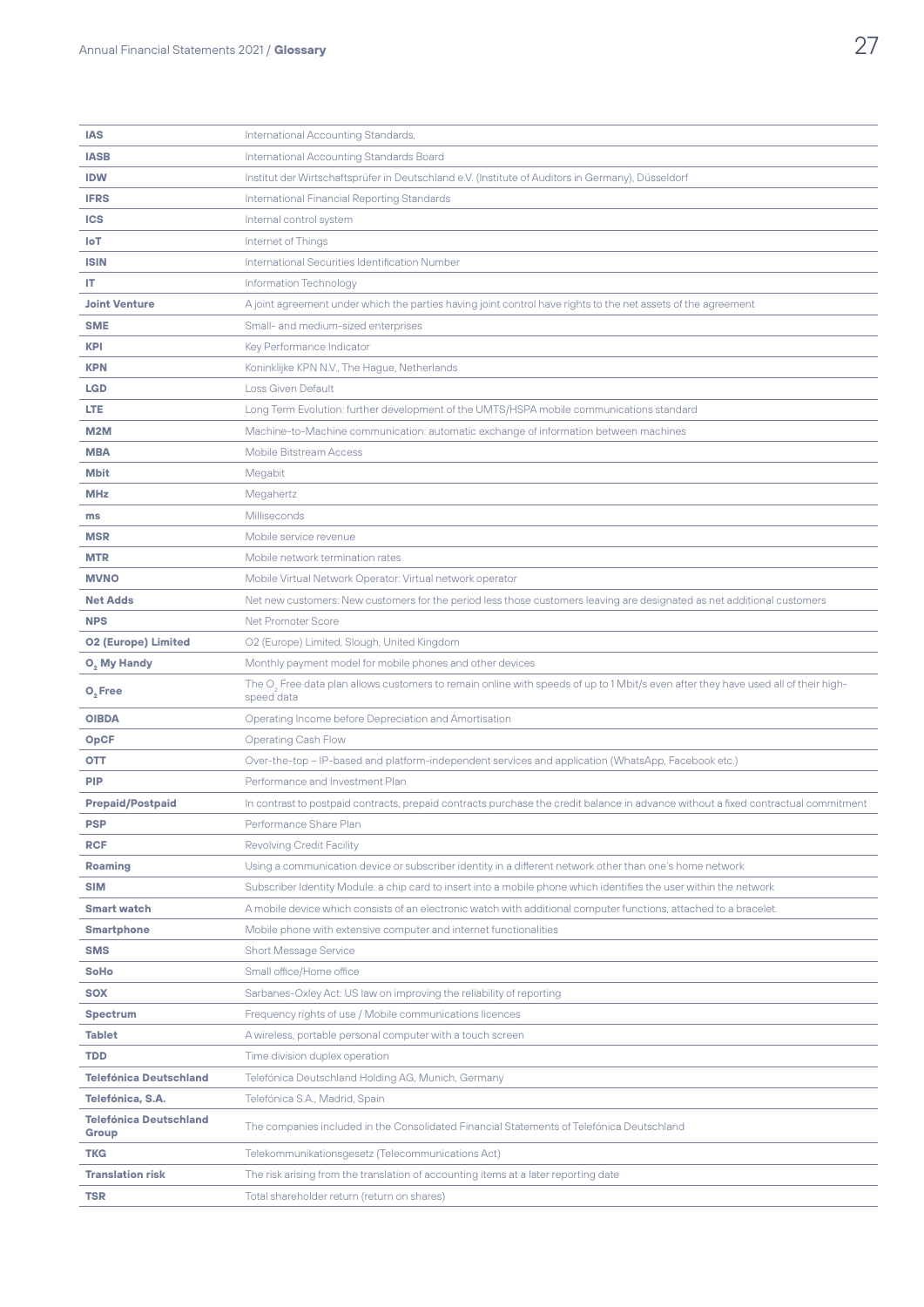| <b>IAS</b>                             | International Accounting Standards,                                                                                                                          |
|----------------------------------------|--------------------------------------------------------------------------------------------------------------------------------------------------------------|
| <b>IASB</b>                            | International Accounting Standards Board                                                                                                                     |
| <b>IDW</b>                             | Institut der Wirtschaftsprüfer in Deutschland e.V. (Institute of Auditors in Germany), Düsseldorf                                                            |
| <b>IFRS</b>                            | International Financial Reporting Standards                                                                                                                  |
| <b>ICS</b>                             | Internal control system                                                                                                                                      |
| <b>IoT</b>                             | Internet of Things                                                                                                                                           |
| <b>ISIN</b>                            | International Securities Identification Number                                                                                                               |
| IT.                                    | Information Technology                                                                                                                                       |
| <b>Joint Venture</b>                   | A joint agreement under which the parties having joint control have rights to the net assets of the agreement                                                |
| <b>SME</b>                             | Small- and medium-sized enterprises                                                                                                                          |
| <b>KPI</b>                             | Key Performance Indicator                                                                                                                                    |
| <b>KPN</b>                             | Koninklijke KPN N.V., The Hague, Netherlands                                                                                                                 |
| <b>LGD</b>                             | <b>Loss Given Default</b>                                                                                                                                    |
| <b>LTE</b>                             | Long Term Evolution: further development of the UMTS/HSPA mobile communications standard                                                                     |
| <b>M2M</b>                             | Machine-to-Machine communication: automatic exchange of information between machines                                                                         |
| <b>MBA</b>                             | <b>Mobile Bitstream Access</b>                                                                                                                               |
| <b>Mbit</b>                            | Megabit                                                                                                                                                      |
| <b>MHz</b>                             | Megahertz                                                                                                                                                    |
| ms                                     | Milliseconds                                                                                                                                                 |
| <b>MSR</b>                             | Mobile service revenue                                                                                                                                       |
| <b>MTR</b>                             | Mobile network termination rates                                                                                                                             |
| <b>MVNO</b>                            | Mobile Virtual Network Operator: Virtual network operator                                                                                                    |
| <b>Net Adds</b>                        | Net new customers: New customers for the period less those customers leaving are designated as net additional customers                                      |
| <b>NPS</b>                             | Net Promoter Score                                                                                                                                           |
| <b>02 (Europe) Limited</b>             | O2 (Europe) Limited, Slough, United Kingdom                                                                                                                  |
| O <sub>2</sub> My Handy                | Monthly payment model for mobile phones and other devices                                                                                                    |
| O <sub>2</sub> Free                    | The O <sub>2</sub> Free data plan allows customers to remain online with speeds of up to 1 Mbit/s even after they have used all of their high-<br>speed data |
| <b>OIBDA</b>                           | Operating Income before Depreciation and Amortisation                                                                                                        |
| <b>OpCF</b>                            | <b>Operating Cash Flow</b>                                                                                                                                   |
| OTT                                    | Over-the-top - IP-based and platform-independent services and application (WhatsApp, Facebook etc.)                                                          |
| <b>PIP</b>                             | Performance and Investment Plan                                                                                                                              |
| <b>Prepaid/Postpaid</b>                | In contrast to postpaid contracts, prepaid contracts purchase the credit balance in advance without a fixed contractual commitment                           |
| PSP                                    | Performance Share Plan                                                                                                                                       |
| <b>RCF</b>                             | <b>Revolving Credit Facility</b>                                                                                                                             |
| Roaming                                | Using a communication device or subscriber identity in a different network other than one's home network                                                     |
| <b>SIM</b>                             | Subscriber Identity Module: a chip card to insert into a mobile phone which identifies the user within the network                                           |
| <b>Smart watch</b>                     | A mobile device which consists of an electronic watch with additional computer functions, attached to a bracelet.                                            |
| <b>Smartphone</b>                      | Mobile phone with extensive computer and internet functionalities                                                                                            |
| <b>SMS</b>                             | <b>Short Message Service</b>                                                                                                                                 |
| SoHo                                   | Small office/Home office                                                                                                                                     |
| <b>SOX</b>                             | Sarbanes-Oxley Act: US law on improving the reliability of reporting                                                                                         |
| <b>Spectrum</b>                        | Frequency rights of use / Mobile communications licences                                                                                                     |
| <b>Tablet</b>                          | A wireless, portable personal computer with a touch screen                                                                                                   |
| TDD                                    | Time division duplex operation                                                                                                                               |
| <b>Telefónica Deutschland</b>          | Telefónica Deutschland Holding AG, Munich, Germany                                                                                                           |
| Telefónica, S.A.                       | Telefónica S.A., Madrid, Spain                                                                                                                               |
| <b>Telefónica Deutschland</b><br>Group | The companies included in the Consolidated Financial Statements of Telefónica Deutschland                                                                    |
| <b>TKG</b>                             | Telekommunikationsgesetz (Telecommunications Act)                                                                                                            |
| <b>Translation risk</b>                | The risk arising from the translation of accounting items at a later reporting date                                                                          |
| TSR                                    | Total shareholder return (return on shares)                                                                                                                  |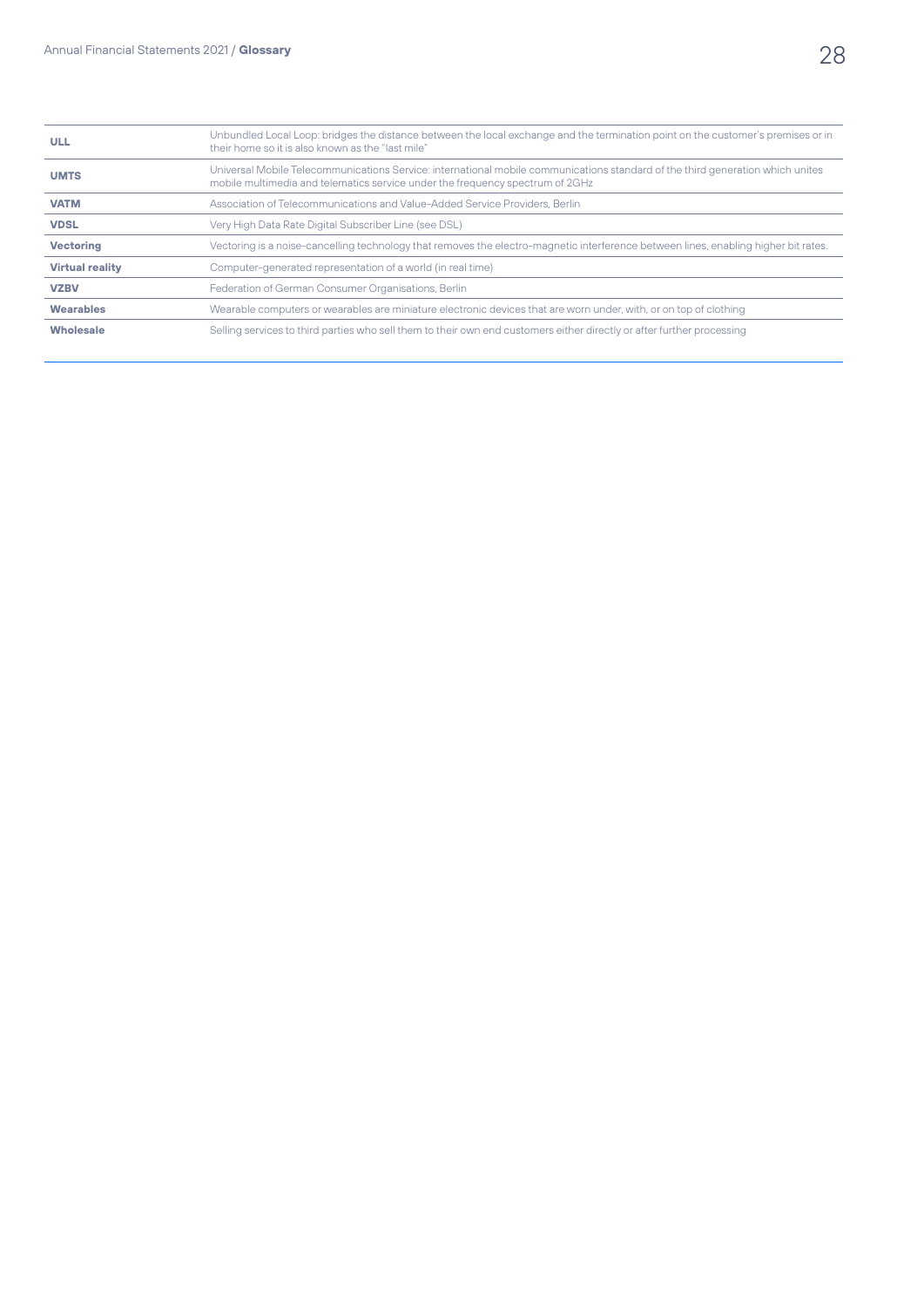| <b>ULL</b>             | Unbundled Local Loop: bridges the distance between the local exchange and the termination point on the customer's premises or in<br>their home so it is also known as the "last mile"                           |
|------------------------|-----------------------------------------------------------------------------------------------------------------------------------------------------------------------------------------------------------------|
| <b>UMTS</b>            | Universal Mobile Telecommunications Service: international mobile communications standard of the third generation which unites<br>mobile multimedia and telematics service under the frequency spectrum of 2GHz |
| <b>VATM</b>            | Association of Telecommunications and Value-Added Service Providers, Berlin                                                                                                                                     |
| <b>VDSL</b>            | Very High Data Rate Digital Subscriber Line (see DSL)                                                                                                                                                           |
| <b>Vectoring</b>       | Vectoring is a noise-cancelling technology that removes the electro-magnetic interference between lines, enabling higher bit rates.                                                                             |
| <b>Virtual reality</b> | Computer-generated representation of a world (in real time)                                                                                                                                                     |
| <b>VZBV</b>            | Federation of German Consumer Organisations, Berlin                                                                                                                                                             |
| <b>Wearables</b>       | Wearable computers or wearables are miniature electronic devices that are worn under, with, or on top of clothing                                                                                               |
| <b>Wholesale</b>       | Selling services to third parties who sell them to their own end customers either directly or after further processing                                                                                          |